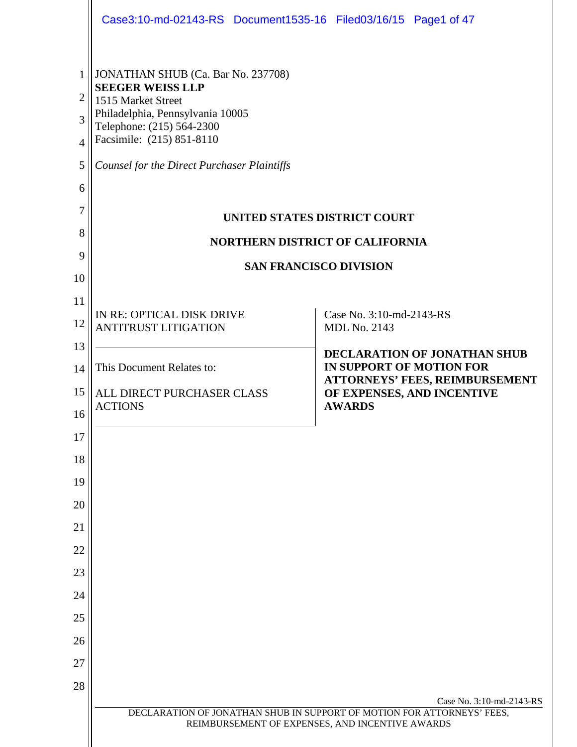|                                                                     | Case3:10-md-02143-RS Document1535-16 Filed03/16/15 Page1 of 47                                                                                                                                                                   |                                                                                                                |                                                                                            |                          |  |
|---------------------------------------------------------------------|----------------------------------------------------------------------------------------------------------------------------------------------------------------------------------------------------------------------------------|----------------------------------------------------------------------------------------------------------------|--------------------------------------------------------------------------------------------|--------------------------|--|
| 1<br>$\overline{2}$<br>3<br>$\overline{4}$<br>5<br>6<br>7<br>8<br>9 | JONATHAN SHUB (Ca. Bar No. 237708)<br><b>SEEGER WEISS LLP</b><br>1515 Market Street<br>Philadelphia, Pennsylvania 10005<br>Telephone: (215) 564-2300<br>Facsimile: (215) 851-8110<br>Counsel for the Direct Purchaser Plaintiffs | <b>UNITED STATES DISTRICT COURT</b><br><b>NORTHERN DISTRICT OF CALIFORNIA</b><br><b>SAN FRANCISCO DIVISION</b> |                                                                                            |                          |  |
| 10                                                                  |                                                                                                                                                                                                                                  |                                                                                                                |                                                                                            |                          |  |
| 11<br>12                                                            | IN RE: OPTICAL DISK DRIVE<br><b>ANTITRUST LITIGATION</b>                                                                                                                                                                         |                                                                                                                | Case No. 3:10-md-2143-RS<br><b>MDL No. 2143</b>                                            |                          |  |
| 13<br>14                                                            | This Document Relates to:                                                                                                                                                                                                        |                                                                                                                | DECLARATION OF JONATHAN SHUB<br>IN SUPPORT OF MOTION FOR<br>ATTORNEYS' FEES, REIMBURSEMENT |                          |  |
| 15<br>16                                                            | ALL DIRECT PURCHASER CLASS<br><b>ACTIONS</b>                                                                                                                                                                                     |                                                                                                                | OF EXPENSES, AND INCENTIVE<br><b>AWARDS</b>                                                |                          |  |
| 17                                                                  |                                                                                                                                                                                                                                  |                                                                                                                |                                                                                            |                          |  |
| 18                                                                  |                                                                                                                                                                                                                                  |                                                                                                                |                                                                                            |                          |  |
| 19                                                                  |                                                                                                                                                                                                                                  |                                                                                                                |                                                                                            |                          |  |
| 20<br>21                                                            |                                                                                                                                                                                                                                  |                                                                                                                |                                                                                            |                          |  |
| 22                                                                  |                                                                                                                                                                                                                                  |                                                                                                                |                                                                                            |                          |  |
| 23                                                                  |                                                                                                                                                                                                                                  |                                                                                                                |                                                                                            |                          |  |
| 24                                                                  |                                                                                                                                                                                                                                  |                                                                                                                |                                                                                            |                          |  |
| 25                                                                  |                                                                                                                                                                                                                                  |                                                                                                                |                                                                                            |                          |  |
| 26                                                                  |                                                                                                                                                                                                                                  |                                                                                                                |                                                                                            |                          |  |
| 27<br>28                                                            |                                                                                                                                                                                                                                  |                                                                                                                |                                                                                            |                          |  |
|                                                                     | DECLARATION OF JONATHAN SHUB IN SUPPORT OF MOTION FOR ATTORNEYS' FEES,                                                                                                                                                           | REIMBURSEMENT OF EXPENSES, AND INCENTIVE AWARDS                                                                |                                                                                            | Case No. 3:10-md-2143-RS |  |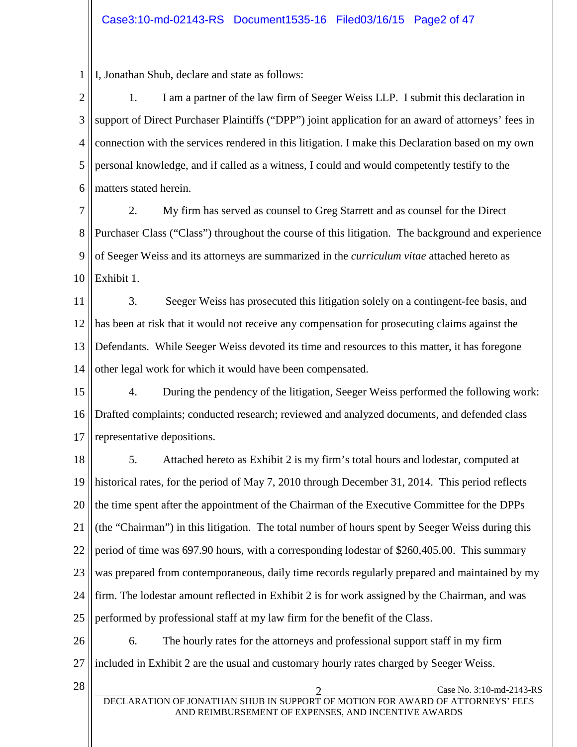1 I, Jonathan Shub, declare and state as follows:

2 3 4 5 6 1. I am a partner of the law firm of Seeger Weiss LLP. I submit this declaration in support of Direct Purchaser Plaintiffs ("DPP") joint application for an award of attorneys' fees in connection with the services rendered in this litigation. I make this Declaration based on my own personal knowledge, and if called as a witness, I could and would competently testify to the matters stated herein.

7 8 9 10 2. My firm has served as counsel to Greg Starrett and as counsel for the Direct Purchaser Class ("Class") throughout the course of this litigation. The background and experience of Seeger Weiss and its attorneys are summarized in the *curriculum vitae* attached hereto as Exhibit 1.

11 12 13 14 3. Seeger Weiss has prosecuted this litigation solely on a contingent-fee basis, and has been at risk that it would not receive any compensation for prosecuting claims against the Defendants. While Seeger Weiss devoted its time and resources to this matter, it has foregone other legal work for which it would have been compensated.

15 16 17 4. During the pendency of the litigation, Seeger Weiss performed the following work: Drafted complaints; conducted research; reviewed and analyzed documents, and defended class representative depositions.

18 19 20 21 22 23 24 25 5. Attached hereto as Exhibit 2 is my firm's total hours and lodestar, computed at historical rates, for the period of May 7, 2010 through December 31, 2014. This period reflects the time spent after the appointment of the Chairman of the Executive Committee for the DPPs (the "Chairman") in this litigation. The total number of hours spent by Seeger Weiss during this period of time was 697.90 hours, with a corresponding lodestar of \$260,405.00. This summary was prepared from contemporaneous, daily time records regularly prepared and maintained by my firm. The lodestar amount reflected in Exhibit 2 is for work assigned by the Chairman, and was performed by professional staff at my law firm for the benefit of the Class.

26 27 6. The hourly rates for the attorneys and professional support staff in my firm included in Exhibit 2 are the usual and customary hourly rates charged by Seeger Weiss.

28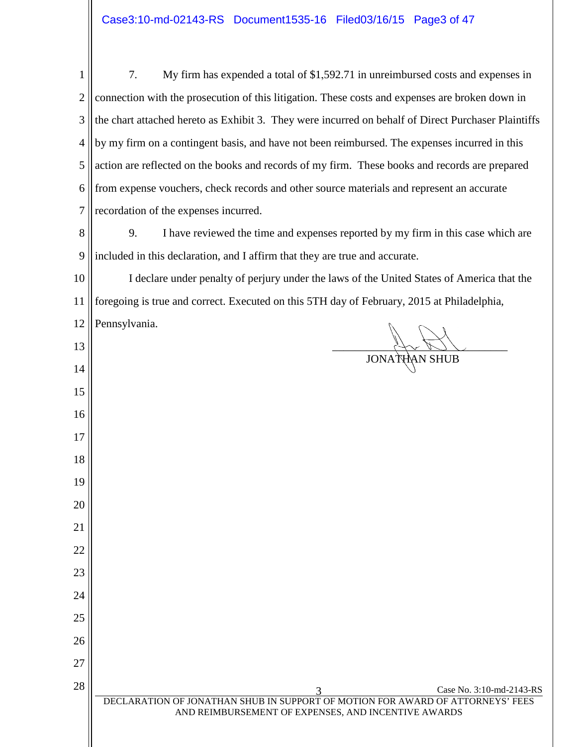|                | 7.<br>My firm has expended a total of \$1,592.71 in unreimbursed costs and expenses in              |  |  |  |
|----------------|-----------------------------------------------------------------------------------------------------|--|--|--|
| $\overline{2}$ | connection with the prosecution of this litigation. These costs and expenses are broken down in     |  |  |  |
| 3              | the chart attached hereto as Exhibit 3. They were incurred on behalf of Direct Purchaser Plaintiffs |  |  |  |
| 4              | by my firm on a contingent basis, and have not been reimbursed. The expenses incurred in this       |  |  |  |
| 5              | action are reflected on the books and records of my firm. These books and records are prepared      |  |  |  |
| 6              | from expense vouchers, check records and other source materials and represent an accurate           |  |  |  |
|                | recordation of the expenses incurred.                                                               |  |  |  |
| 8              | I have reviewed the time and expenses reported by my firm in this case which are<br>9.              |  |  |  |
| 9              | included in this declaration, and I affirm that they are true and accurate.                         |  |  |  |
| 10             | I declare under penalty of perjury under the laws of the United States of America that the          |  |  |  |

 foregoing is true and correct. Executed on this 5TH day of February, 2015 at Philadelphia,

 Pennsylvania. \_\_\_\_\_\_\_\_\_\_\_\_\_\_\_\_\_\_\_\_\_\_\_\_\_\_\_\_\_\_\_ JONATHAN SHUB 3 Case No. 3:10-md-2143-RS DECLARATION OF JONATHAN SHUB IN SUPPORT OF MOTION FOR AWARD OF ATTORNEYS' FEES AND REIMBURSEMENT OF EXPENSES, AND INCENTIVE AWARDS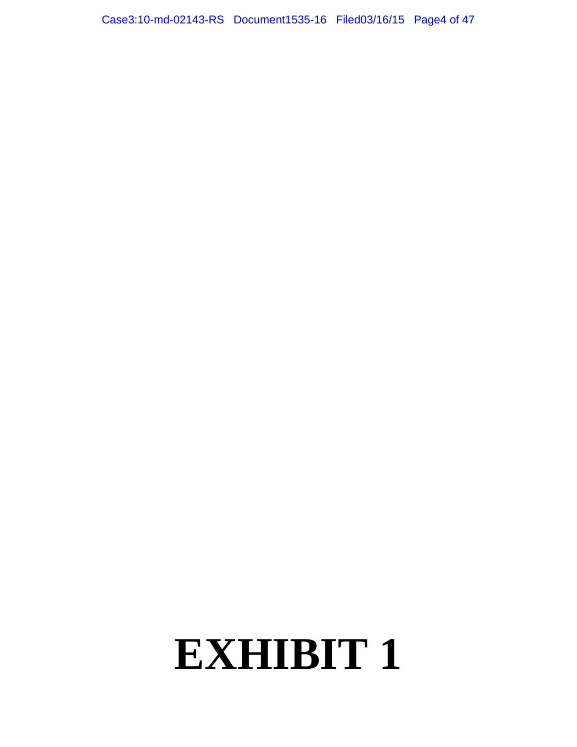Case3:10-md-02143-RS Document1535-16 Filed03/16/15 Page4 of 47

## **EXHIBIT 1**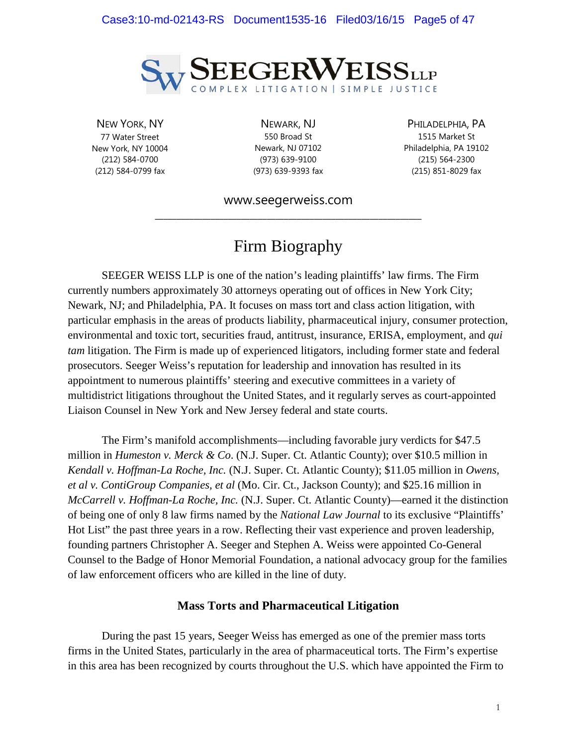

NEW YORK, NY 77 Water Street New York, NY 10004 (212) 584-0700 (212) 584-0799 fax

NEWARK, NJ 550 Broad St Newark, NJ 07102 (973) 639-9100 (973) 639-9393 fax

PHILADELPHIA, PA 1515 Market St Philadelphia, PA 19102 (215) 564-2300 (215) 851-8029 fax

www.seegerweiss.com **\_\_\_\_\_\_\_\_\_\_\_\_\_\_\_\_\_\_\_\_\_\_\_\_\_\_\_\_\_\_\_\_\_\_\_\_\_\_\_\_\_\_\_\_\_\_\_\_\_\_\_\_\_\_\_\_\_\_\_\_\_\_**

## Firm Biography

SEEGER WEISS LLP is one of the nation's leading plaintiffs' law firms. The Firm currently numbers approximately 30 attorneys operating out of offices in New York City; Newark, NJ; and Philadelphia, PA. It focuses on mass tort and class action litigation, with particular emphasis in the areas of products liability, pharmaceutical injury, consumer protection, environmental and toxic tort, securities fraud, antitrust, insurance, ERISA, employment, and *qui tam* litigation. The Firm is made up of experienced litigators, including former state and federal prosecutors. Seeger Weiss's reputation for leadership and innovation has resulted in its appointment to numerous plaintiffs' steering and executive committees in a variety of multidistrict litigations throughout the United States, and it regularly serves as court-appointed Liaison Counsel in New York and New Jersey federal and state courts.

The Firm's manifold accomplishments—including favorable jury verdicts for \$47.5 million in *Humeston v. Merck & Co*. (N.J. Super. Ct. Atlantic County); over \$10.5 million in *Kendall v. Hoffman-La Roche, Inc.* (N.J. Super. Ct. Atlantic County); \$11.05 million in *Owens, et al v. ContiGroup Companies, et al* (Mo. Cir. Ct., Jackson County); and \$25.16 million in *McCarrell v. Hoffman-La Roche, Inc.* (N.J. Super. Ct. Atlantic County)—earned it the distinction of being one of only 8 law firms named by the *National Law Journal* to its exclusive "Plaintiffs' Hot List" the past three years in a row. Reflecting their vast experience and proven leadership, founding partners Christopher A. Seeger and Stephen A. Weiss were appointed Co-General Counsel to the Badge of Honor Memorial Foundation, a national advocacy group for the families of law enforcement officers who are killed in the line of duty.

#### **Mass Torts and Pharmaceutical Litigation**

During the past 15 years, Seeger Weiss has emerged as one of the premier mass torts firms in the United States, particularly in the area of pharmaceutical torts. The Firm's expertise in this area has been recognized by courts throughout the U.S. which have appointed the Firm to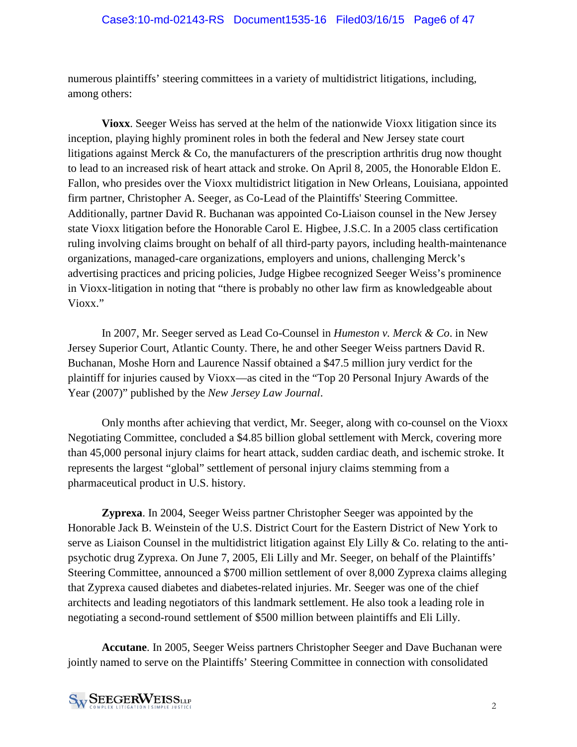numerous plaintiffs' steering committees in a variety of multidistrict litigations, including, among others:

**Vioxx**. Seeger Weiss has served at the helm of the nationwide Vioxx litigation since its inception, playing highly prominent roles in both the federal and New Jersey state court litigations against Merck & Co, the manufacturers of the prescription arthritis drug now thought to lead to an increased risk of heart attack and stroke. On April 8, 2005, the Honorable Eldon E. Fallon, who presides over the Vioxx multidistrict litigation in New Orleans, Louisiana, appointed firm partner, Christopher A. Seeger, as Co-Lead of the Plaintiffs' Steering Committee. Additionally, partner David R. Buchanan was appointed Co-Liaison counsel in the New Jersey state Vioxx litigation before the Honorable Carol E. Higbee, J.S.C. In a 2005 class certification ruling involving claims brought on behalf of all third-party payors, including health-maintenance organizations, managed-care organizations, employers and unions, challenging Merck's advertising practices and pricing policies, Judge Higbee recognized Seeger Weiss's prominence in Vioxx-litigation in noting that "there is probably no other law firm as knowledgeable about Vioxx."

In 2007, Mr. Seeger served as Lead Co-Counsel in *Humeston v. Merck & Co*. in New Jersey Superior Court, Atlantic County. There, he and other Seeger Weiss partners David R. Buchanan, Moshe Horn and Laurence Nassif obtained a \$47.5 million jury verdict for the plaintiff for injuries caused by Vioxx—as cited in the "Top 20 Personal Injury Awards of the Year (2007)" published by the *New Jersey Law Journal*.

Only months after achieving that verdict, Mr. Seeger, along with co-counsel on the Vioxx Negotiating Committee, concluded a \$4.85 billion global settlement with Merck, covering more than 45,000 personal injury claims for heart attack, sudden cardiac death, and ischemic stroke. It represents the largest "global" settlement of personal injury claims stemming from a pharmaceutical product in U.S. history.

**Zyprexa**. In 2004, Seeger Weiss partner Christopher Seeger was appointed by the Honorable Jack B. Weinstein of the U.S. District Court for the Eastern District of New York to serve as Liaison Counsel in the multidistrict litigation against Ely Lilly & Co. relating to the antipsychotic drug Zyprexa. On June 7, 2005, Eli Lilly and Mr. Seeger, on behalf of the Plaintiffs' Steering Committee, announced a \$700 million settlement of over 8,000 Zyprexa claims alleging that Zyprexa caused diabetes and diabetes-related injuries. Mr. Seeger was one of the chief architects and leading negotiators of this landmark settlement. He also took a leading role in negotiating a second-round settlement of \$500 million between plaintiffs and Eli Lilly.

**Accutane**. In 2005, Seeger Weiss partners Christopher Seeger and Dave Buchanan were jointly named to serve on the Plaintiffs' Steering Committee in connection with consolidated

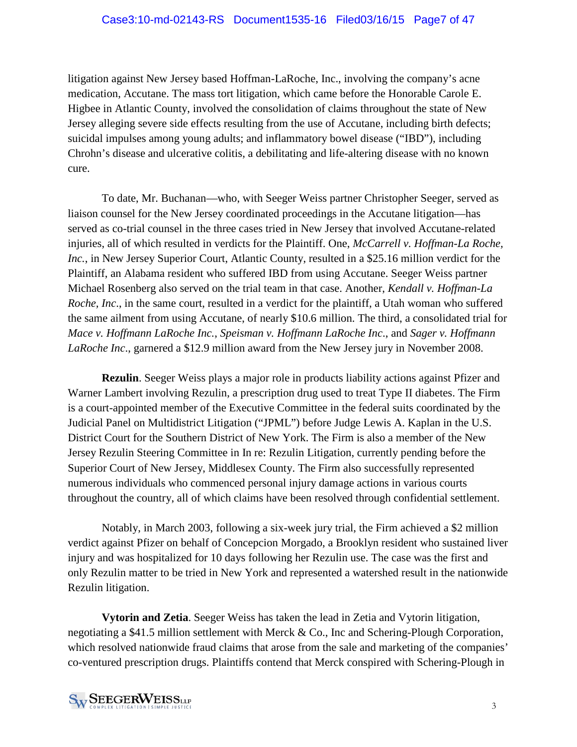litigation against New Jersey based Hoffman-LaRoche, Inc., involving the company's acne medication, Accutane. The mass tort litigation, which came before the Honorable Carole E. Higbee in Atlantic County, involved the consolidation of claims throughout the state of New Jersey alleging severe side effects resulting from the use of Accutane, including birth defects; suicidal impulses among young adults; and inflammatory bowel disease ("IBD"), including Chrohn's disease and ulcerative colitis, a debilitating and life-altering disease with no known cure.

To date, Mr. Buchanan—who, with Seeger Weiss partner Christopher Seeger, served as liaison counsel for the New Jersey coordinated proceedings in the Accutane litigation—has served as co-trial counsel in the three cases tried in New Jersey that involved Accutane-related injuries, all of which resulted in verdicts for the Plaintiff. One, *McCarrell v. Hoffman-La Roche, Inc.*, in New Jersey Superior Court, Atlantic County, resulted in a \$25.16 million verdict for the Plaintiff, an Alabama resident who suffered IBD from using Accutane. Seeger Weiss partner Michael Rosenberg also served on the trial team in that case. Another, *Kendall v. Hoffman-La Roche, Inc*., in the same court, resulted in a verdict for the plaintiff, a Utah woman who suffered the same ailment from using Accutane, of nearly \$10.6 million. The third, a consolidated trial for *Mace v. Hoffmann LaRoche Inc.*, *Speisman v. Hoffmann LaRoche Inc*., and *Sager v. Hoffmann LaRoche Inc*., garnered a \$12.9 million award from the New Jersey jury in November 2008.

**Rezulin**. Seeger Weiss plays a major role in products liability actions against Pfizer and Warner Lambert involving Rezulin, a prescription drug used to treat Type II diabetes. The Firm is a court-appointed member of the Executive Committee in the federal suits coordinated by the Judicial Panel on Multidistrict Litigation ("JPML") before Judge Lewis A. Kaplan in the U.S. District Court for the Southern District of New York. The Firm is also a member of the New Jersey Rezulin Steering Committee in In re: Rezulin Litigation, currently pending before the Superior Court of New Jersey, Middlesex County. The Firm also successfully represented numerous individuals who commenced personal injury damage actions in various courts throughout the country, all of which claims have been resolved through confidential settlement.

Notably, in March 2003, following a six-week jury trial, the Firm achieved a \$2 million verdict against Pfizer on behalf of Concepcion Morgado, a Brooklyn resident who sustained liver injury and was hospitalized for 10 days following her Rezulin use. The case was the first and only Rezulin matter to be tried in New York and represented a watershed result in the nationwide Rezulin litigation.

**Vytorin and Zetia**. Seeger Weiss has taken the lead in Zetia and Vytorin litigation, negotiating a \$41.5 million settlement with Merck & Co., Inc and Schering-Plough Corporation, which resolved nationwide fraud claims that arose from the sale and marketing of the companies' co-ventured prescription drugs. Plaintiffs contend that Merck conspired with Schering-Plough in

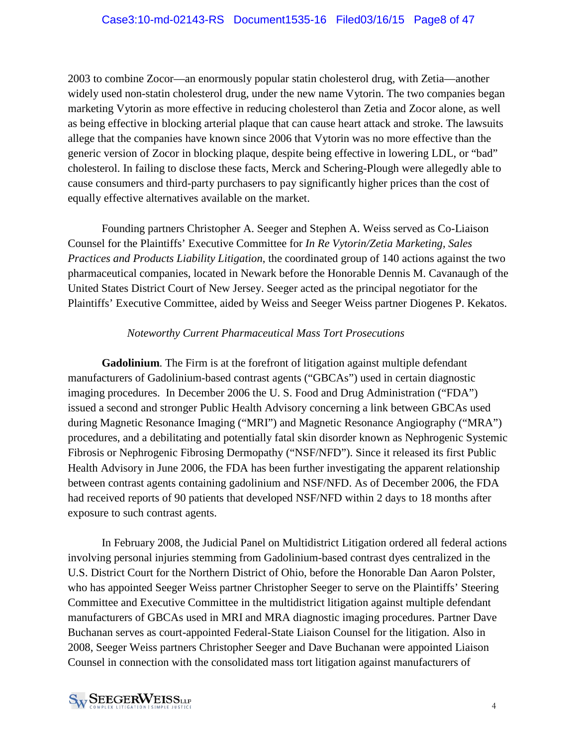2003 to combine Zocor—an enormously popular statin cholesterol drug, with Zetia—another widely used non-statin cholesterol drug, under the new name Vytorin. The two companies began marketing Vytorin as more effective in reducing cholesterol than Zetia and Zocor alone, as well as being effective in blocking arterial plaque that can cause heart attack and stroke. The lawsuits allege that the companies have known since 2006 that Vytorin was no more effective than the generic version of Zocor in blocking plaque, despite being effective in lowering LDL, or "bad" cholesterol. In failing to disclose these facts, Merck and Schering-Plough were allegedly able to cause consumers and third-party purchasers to pay significantly higher prices than the cost of equally effective alternatives available on the market.

Founding partners Christopher A. Seeger and Stephen A. Weiss served as Co-Liaison Counsel for the Plaintiffs' Executive Committee for *In Re Vytorin/Zetia Marketing, Sales Practices and Products Liability Litigation*, the coordinated group of 140 actions against the two pharmaceutical companies, located in Newark before the Honorable Dennis M. Cavanaugh of the United States District Court of New Jersey. Seeger acted as the principal negotiator for the Plaintiffs' Executive Committee, aided by Weiss and Seeger Weiss partner Diogenes P. Kekatos.

#### *Noteworthy Current Pharmaceutical Mass Tort Prosecutions*

**Gadolinium**. The Firm is at the forefront of litigation against multiple defendant manufacturers of Gadolinium-based contrast agents ("GBCAs") used in certain diagnostic imaging procedures. In December 2006 the U. S. Food and Drug Administration ("FDA") issued a second and stronger Public Health Advisory concerning a link between GBCAs used during Magnetic Resonance Imaging ("MRI") and Magnetic Resonance Angiography ("MRA") procedures, and a debilitating and potentially fatal skin disorder known as Nephrogenic Systemic Fibrosis or Nephrogenic Fibrosing Dermopathy ("NSF/NFD"). Since it released its first Public Health Advisory in June 2006, the FDA has been further investigating the apparent relationship between contrast agents containing gadolinium and NSF/NFD. As of December 2006, the FDA had received reports of 90 patients that developed NSF/NFD within 2 days to 18 months after exposure to such contrast agents.

In February 2008, the Judicial Panel on Multidistrict Litigation ordered all federal actions involving personal injuries stemming from Gadolinium-based contrast dyes centralized in the U.S. District Court for the Northern District of Ohio, before the Honorable Dan Aaron Polster, who has appointed Seeger Weiss partner Christopher Seeger to serve on the Plaintiffs' Steering Committee and Executive Committee in the multidistrict litigation against multiple defendant manufacturers of GBCAs used in MRI and MRA diagnostic imaging procedures. Partner Dave Buchanan serves as court-appointed Federal-State Liaison Counsel for the litigation. Also in 2008, Seeger Weiss partners Christopher Seeger and Dave Buchanan were appointed Liaison Counsel in connection with the consolidated mass tort litigation against manufacturers of

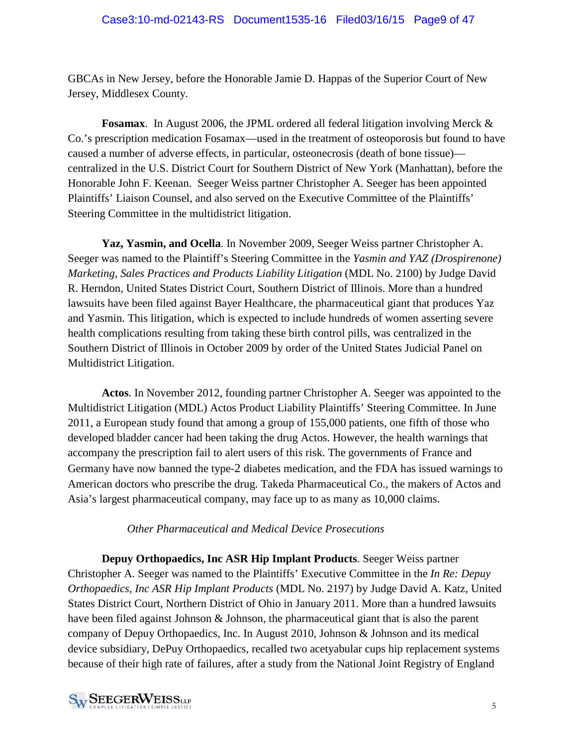GBCAs in New Jersey, before the Honorable Jamie D. Happas of the Superior Court of New Jersey, Middlesex County.

**Fosamax**. In August 2006, the JPML ordered all federal litigation involving Merck & Co.'s prescription medication Fosamax—used in the treatment of osteoporosis but found to have caused a number of adverse effects, in particular, osteonecrosis (death of bone tissue) centralized in the U.S. District Court for Southern District of New York (Manhattan), before the Honorable John F. Keenan. Seeger Weiss partner Christopher A. Seeger has been appointed Plaintiffs' Liaison Counsel, and also served on the Executive Committee of the Plaintiffs' Steering Committee in the multidistrict litigation.

**Yaz, Yasmin, and Ocella**. In November 2009, Seeger Weiss partner Christopher A. Seeger was named to the Plaintiff's Steering Committee in the *Yasmin and YAZ (Drospirenone) Marketing, Sales Practices and Products Liability Litigation* (MDL No. 2100) by Judge David R. Herndon, United States District Court, Southern District of Illinois. More than a hundred lawsuits have been filed against Bayer Healthcare, the pharmaceutical giant that produces Yaz and Yasmin. This litigation, which is expected to include hundreds of women asserting severe health complications resulting from taking these birth control pills, was centralized in the Southern District of Illinois in October 2009 by order of the United States Judicial Panel on Multidistrict Litigation.

**Actos**. In November 2012, founding partner Christopher A. Seeger was appointed to the Multidistrict Litigation (MDL) Actos Product Liability Plaintiffs' Steering Committee. In June 2011, a European study found that among a group of 155,000 patients, one fifth of those who developed bladder cancer had been taking the drug Actos. However, the health warnings that accompany the prescription fail to alert users of this risk. The governments of France and Germany have now banned the type-2 diabetes medication, and the FDA has issued warnings to American doctors who prescribe the drug. Takeda Pharmaceutical Co., the makers of Actos and Asia's largest pharmaceutical company, may face up to as many as 10,000 claims.

#### *Other Pharmaceutical and Medical Device Prosecutions*

**Depuy Orthopaedics, Inc ASR Hip Implant Products**. Seeger Weiss partner Christopher A. Seeger was named to the Plaintiffs' Executive Committee in the *In Re: Depuy Orthopaedics, Inc ASR Hip Implant Products* (MDL No. 2197) by Judge David A. Katz, United States District Court, Northern District of Ohio in January 2011. More than a hundred lawsuits have been filed against Johnson & Johnson, the pharmaceutical giant that is also the parent company of Depuy Orthopaedics, Inc. In August 2010, Johnson & Johnson and its medical device subsidiary, DePuy Orthopaedics, recalled two acetyabular cups hip replacement systems because of their high rate of failures, after a study from the National Joint Registry of England

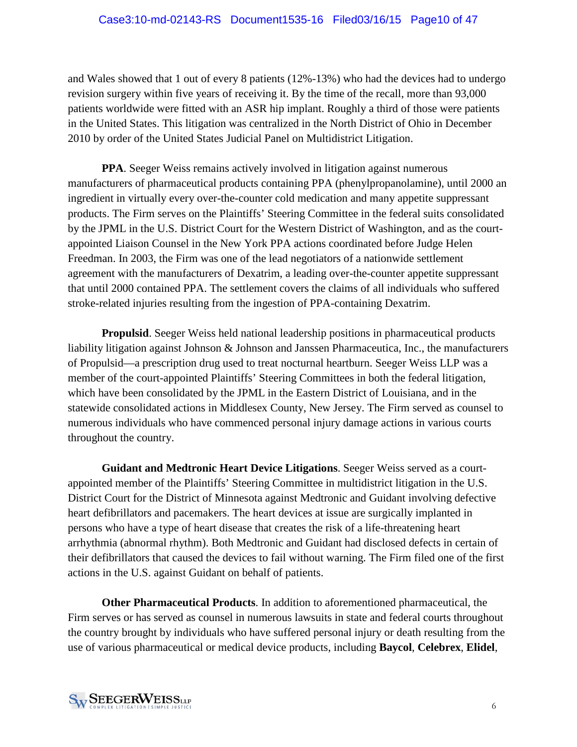and Wales showed that 1 out of every 8 patients (12%-13%) who had the devices had to undergo revision surgery within five years of receiving it. By the time of the recall, more than 93,000 patients worldwide were fitted with an ASR hip implant. Roughly a third of those were patients in the United States. This litigation was centralized in the North District of Ohio in December 2010 by order of the United States Judicial Panel on Multidistrict Litigation.

**PPA**. Seeger Weiss remains actively involved in litigation against numerous manufacturers of pharmaceutical products containing PPA (phenylpropanolamine), until 2000 an ingredient in virtually every over-the-counter cold medication and many appetite suppressant products. The Firm serves on the Plaintiffs' Steering Committee in the federal suits consolidated by the JPML in the U.S. District Court for the Western District of Washington, and as the courtappointed Liaison Counsel in the New York PPA actions coordinated before Judge Helen Freedman. In 2003, the Firm was one of the lead negotiators of a nationwide settlement agreement with the manufacturers of Dexatrim, a leading over-the-counter appetite suppressant that until 2000 contained PPA. The settlement covers the claims of all individuals who suffered stroke-related injuries resulting from the ingestion of PPA-containing Dexatrim.

**Propulsid**. Seeger Weiss held national leadership positions in pharmaceutical products liability litigation against Johnson & Johnson and Janssen Pharmaceutica, Inc., the manufacturers of Propulsid—a prescription drug used to treat nocturnal heartburn. Seeger Weiss LLP was a member of the court-appointed Plaintiffs' Steering Committees in both the federal litigation, which have been consolidated by the JPML in the Eastern District of Louisiana, and in the statewide consolidated actions in Middlesex County, New Jersey. The Firm served as counsel to numerous individuals who have commenced personal injury damage actions in various courts throughout the country.

**Guidant and Medtronic Heart Device Litigations**. Seeger Weiss served as a courtappointed member of the Plaintiffs' Steering Committee in multidistrict litigation in the U.S. District Court for the District of Minnesota against Medtronic and Guidant involving defective heart defibrillators and pacemakers. The heart devices at issue are surgically implanted in persons who have a type of heart disease that creates the risk of a life-threatening heart arrhythmia (abnormal rhythm). Both Medtronic and Guidant had disclosed defects in certain of their defibrillators that caused the devices to fail without warning. The Firm filed one of the first actions in the U.S. against Guidant on behalf of patients.

**Other Pharmaceutical Products**. In addition to aforementioned pharmaceutical, the Firm serves or has served as counsel in numerous lawsuits in state and federal courts throughout the country brought by individuals who have suffered personal injury or death resulting from the use of various pharmaceutical or medical device products, including **Baycol**, **Celebrex**, **Elidel**,

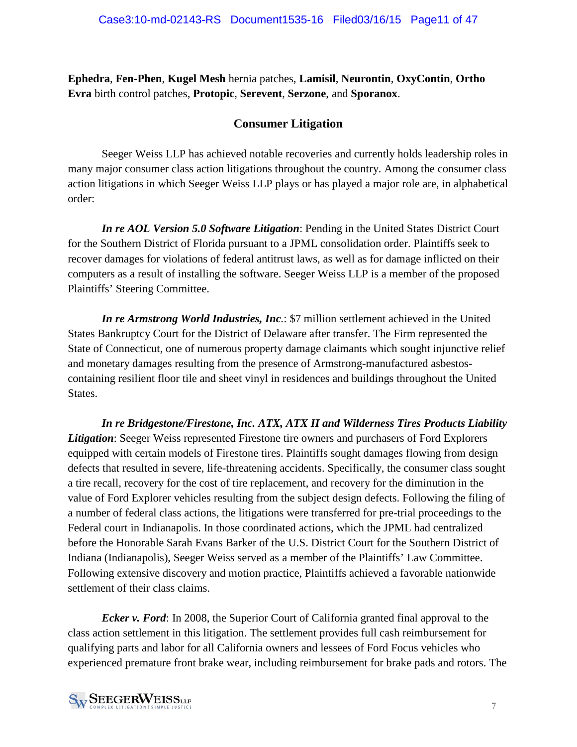**Ephedra**, **Fen-Phen**, **Kugel Mesh** hernia patches, **Lamisil**, **Neurontin**, **OxyContin**, **Ortho Evra** birth control patches, **Protopic**, **Serevent**, **Serzone**, and **Sporanox**.

## **Consumer Litigation**

Seeger Weiss LLP has achieved notable recoveries and currently holds leadership roles in many major consumer class action litigations throughout the country. Among the consumer class action litigations in which Seeger Weiss LLP plays or has played a major role are, in alphabetical order:

*In re AOL Version 5.0 Software Litigation*: Pending in the United States District Court for the Southern District of Florida pursuant to a JPML consolidation order. Plaintiffs seek to recover damages for violations of federal antitrust laws, as well as for damage inflicted on their computers as a result of installing the software. Seeger Weiss LLP is a member of the proposed Plaintiffs' Steering Committee.

*In re Armstrong World Industries, Inc.*: \$7 million settlement achieved in the United States Bankruptcy Court for the District of Delaware after transfer. The Firm represented the State of Connecticut, one of numerous property damage claimants which sought injunctive relief and monetary damages resulting from the presence of Armstrong-manufactured asbestoscontaining resilient floor tile and sheet vinyl in residences and buildings throughout the United States.

*In re Bridgestone/Firestone, Inc. ATX, ATX II and Wilderness Tires Products Liability Litigation*: Seeger Weiss represented Firestone tire owners and purchasers of Ford Explorers equipped with certain models of Firestone tires. Plaintiffs sought damages flowing from design defects that resulted in severe, life-threatening accidents. Specifically, the consumer class sought a tire recall, recovery for the cost of tire replacement, and recovery for the diminution in the value of Ford Explorer vehicles resulting from the subject design defects. Following the filing of a number of federal class actions, the litigations were transferred for pre-trial proceedings to the Federal court in Indianapolis. In those coordinated actions, which the JPML had centralized before the Honorable Sarah Evans Barker of the U.S. District Court for the Southern District of Indiana (Indianapolis), Seeger Weiss served as a member of the Plaintiffs' Law Committee. Following extensive discovery and motion practice, Plaintiffs achieved a favorable nationwide settlement of their class claims.

*Ecker v. Ford*: In 2008, the Superior Court of California granted final approval to the class action settlement in this litigation. The settlement provides full cash reimbursement for qualifying parts and labor for all California owners and lessees of Ford Focus vehicles who experienced premature front brake wear, including reimbursement for brake pads and rotors. The

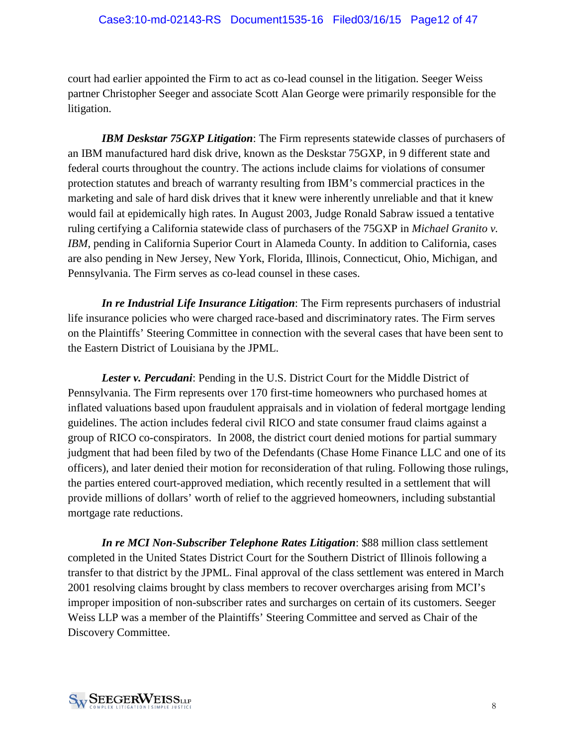court had earlier appointed the Firm to act as co-lead counsel in the litigation. Seeger Weiss partner Christopher Seeger and associate Scott Alan George were primarily responsible for the litigation.

*IBM Deskstar 75GXP Litigation*: The Firm represents statewide classes of purchasers of an IBM manufactured hard disk drive, known as the Deskstar 75GXP, in 9 different state and federal courts throughout the country. The actions include claims for violations of consumer protection statutes and breach of warranty resulting from IBM's commercial practices in the marketing and sale of hard disk drives that it knew were inherently unreliable and that it knew would fail at epidemically high rates. In August 2003, Judge Ronald Sabraw issued a tentative ruling certifying a California statewide class of purchasers of the 75GXP in *Michael Granito v. IBM*, pending in California Superior Court in Alameda County. In addition to California, cases are also pending in New Jersey, New York, Florida, Illinois, Connecticut, Ohio, Michigan, and Pennsylvania. The Firm serves as co-lead counsel in these cases.

*In re Industrial Life Insurance Litigation*: The Firm represents purchasers of industrial life insurance policies who were charged race-based and discriminatory rates. The Firm serves on the Plaintiffs' Steering Committee in connection with the several cases that have been sent to the Eastern District of Louisiana by the JPML.

*Lester v. Percudani*: Pending in the U.S. District Court for the Middle District of Pennsylvania. The Firm represents over 170 first-time homeowners who purchased homes at inflated valuations based upon fraudulent appraisals and in violation of federal mortgage lending guidelines. The action includes federal civil RICO and state consumer fraud claims against a group of RICO co-conspirators. In 2008, the district court denied motions for partial summary judgment that had been filed by two of the Defendants (Chase Home Finance LLC and one of its officers), and later denied their motion for reconsideration of that ruling. Following those rulings, the parties entered court-approved mediation, which recently resulted in a settlement that will provide millions of dollars' worth of relief to the aggrieved homeowners, including substantial mortgage rate reductions.

*In re MCI Non-Subscriber Telephone Rates Litigation*: \$88 million class settlement completed in the United States District Court for the Southern District of Illinois following a transfer to that district by the JPML. Final approval of the class settlement was entered in March 2001 resolving claims brought by class members to recover overcharges arising from MCI's improper imposition of non-subscriber rates and surcharges on certain of its customers. Seeger Weiss LLP was a member of the Plaintiffs' Steering Committee and served as Chair of the Discovery Committee.

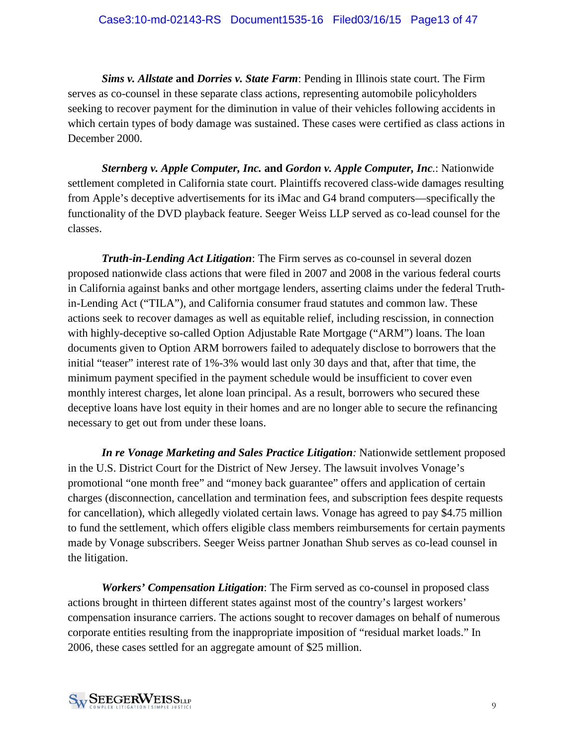*Sims v. Allstate* **and** *Dorries v. State Farm*: Pending in Illinois state court. The Firm serves as co-counsel in these separate class actions, representing automobile policyholders seeking to recover payment for the diminution in value of their vehicles following accidents in which certain types of body damage was sustained. These cases were certified as class actions in December 2000.

*Sternberg v. Apple Computer, Inc.* **and** *Gordon v. Apple Computer, Inc.*: Nationwide settlement completed in California state court. Plaintiffs recovered class-wide damages resulting from Apple's deceptive advertisements for its iMac and G4 brand computers—specifically the functionality of the DVD playback feature. Seeger Weiss LLP served as co-lead counsel for the classes.

*Truth-in-Lending Act Litigation*: The Firm serves as co-counsel in several dozen proposed nationwide class actions that were filed in 2007 and 2008 in the various federal courts in California against banks and other mortgage lenders, asserting claims under the federal Truthin-Lending Act ("TILA"), and California consumer fraud statutes and common law. These actions seek to recover damages as well as equitable relief, including rescission, in connection with highly-deceptive so-called Option Adjustable Rate Mortgage ("ARM") loans. The loan documents given to Option ARM borrowers failed to adequately disclose to borrowers that the initial "teaser" interest rate of 1%-3% would last only 30 days and that, after that time, the minimum payment specified in the payment schedule would be insufficient to cover even monthly interest charges, let alone loan principal. As a result, borrowers who secured these deceptive loans have lost equity in their homes and are no longer able to secure the refinancing necessary to get out from under these loans.

*In re Vonage Marketing and Sales Practice Litigation:* Nationwide settlement proposed in the U.S. District Court for the District of New Jersey. The lawsuit involves Vonage's promotional "one month free" and "money back guarantee" offers and application of certain charges (disconnection, cancellation and termination fees, and subscription fees despite requests for cancellation), which allegedly violated certain laws. Vonage has agreed to pay \$4.75 million to fund the settlement, which offers eligible class members reimbursements for certain payments made by Vonage subscribers. Seeger Weiss partner Jonathan Shub serves as co-lead counsel in the litigation.

*Workers' Compensation Litigation*: The Firm served as co-counsel in proposed class actions brought in thirteen different states against most of the country's largest workers' compensation insurance carriers. The actions sought to recover damages on behalf of numerous corporate entities resulting from the inappropriate imposition of "residual market loads." In 2006, these cases settled for an aggregate amount of \$25 million.

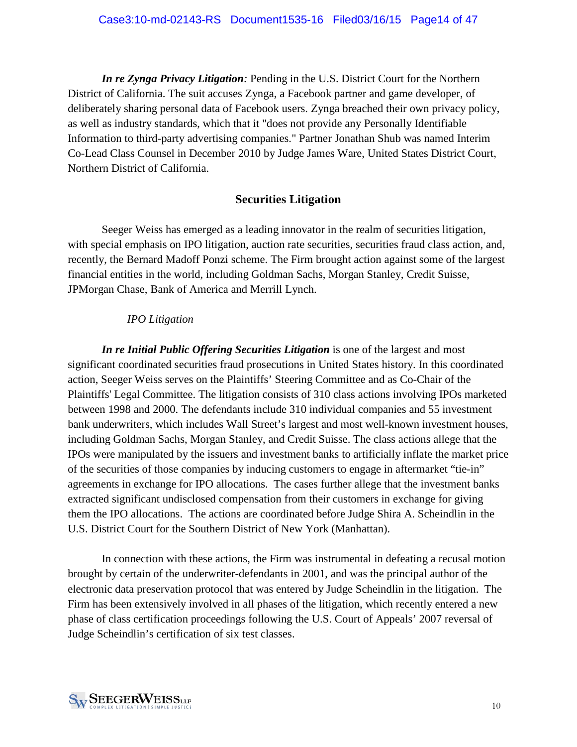*In re Zynga Privacy Litigation:* Pending in the U.S. District Court for the Northern District of California. The suit accuses Zynga, a Facebook partner and game developer, of deliberately sharing personal data of Facebook users. Zynga breached their own privacy policy, as well as industry standards, which that it "does not provide any Personally Identifiable Information to third-party advertising companies." Partner Jonathan Shub was named Interim Co-Lead Class Counsel in December 2010 by Judge James Ware, United States District Court, Northern District of California.

### **Securities Litigation**

Seeger Weiss has emerged as a leading innovator in the realm of securities litigation, with special emphasis on IPO litigation, auction rate securities, securities fraud class action, and, recently, the Bernard Madoff Ponzi scheme. The Firm brought action against some of the largest financial entities in the world, including Goldman Sachs, Morgan Stanley, Credit Suisse, JPMorgan Chase, Bank of America and Merrill Lynch.

#### *IPO Litigation*

*In re Initial Public Offering Securities Litigation* is one of the largest and most significant coordinated securities fraud prosecutions in United States history. In this coordinated action, Seeger Weiss serves on the Plaintiffs' Steering Committee and as Co-Chair of the Plaintiffs' Legal Committee. The litigation consists of 310 class actions involving IPOs marketed between 1998 and 2000. The defendants include 310 individual companies and 55 investment bank underwriters, which includes Wall Street's largest and most well-known investment houses, including Goldman Sachs, Morgan Stanley, and Credit Suisse. The class actions allege that the IPOs were manipulated by the issuers and investment banks to artificially inflate the market price of the securities of those companies by inducing customers to engage in aftermarket "tie-in" agreements in exchange for IPO allocations. The cases further allege that the investment banks extracted significant undisclosed compensation from their customers in exchange for giving them the IPO allocations. The actions are coordinated before Judge Shira A. Scheindlin in the U.S. District Court for the Southern District of New York (Manhattan).

In connection with these actions, the Firm was instrumental in defeating a recusal motion brought by certain of the underwriter-defendants in 2001, and was the principal author of the electronic data preservation protocol that was entered by Judge Scheindlin in the litigation. The Firm has been extensively involved in all phases of the litigation, which recently entered a new phase of class certification proceedings following the U.S. Court of Appeals' 2007 reversal of Judge Scheindlin's certification of six test classes.

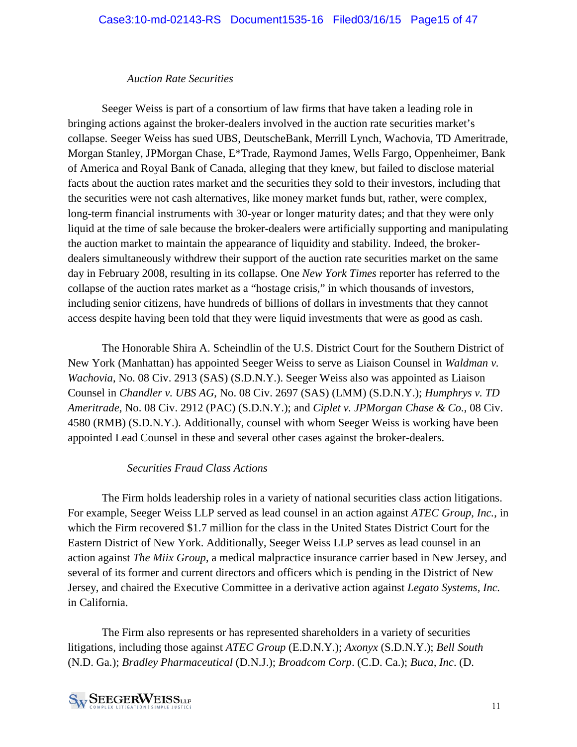#### *Auction Rate Securities*

Seeger Weiss is part of a consortium of law firms that have taken a leading role in bringing actions against the broker-dealers involved in the auction rate securities market's collapse. Seeger Weiss has sued UBS, DeutscheBank, Merrill Lynch, Wachovia, TD Ameritrade, Morgan Stanley, JPMorgan Chase, E\*Trade, Raymond James, Wells Fargo, Oppenheimer, Bank of America and Royal Bank of Canada, alleging that they knew, but failed to disclose material facts about the auction rates market and the securities they sold to their investors, including that the securities were not cash alternatives, like money market funds but, rather, were complex, long-term financial instruments with 30-year or longer maturity dates; and that they were only liquid at the time of sale because the broker-dealers were artificially supporting and manipulating the auction market to maintain the appearance of liquidity and stability. Indeed, the brokerdealers simultaneously withdrew their support of the auction rate securities market on the same day in February 2008, resulting in its collapse. One *New York Times* reporter has referred to the collapse of the auction rates market as a "hostage crisis," in which thousands of investors, including senior citizens, have hundreds of billions of dollars in investments that they cannot access despite having been told that they were liquid investments that were as good as cash.

The Honorable Shira A. Scheindlin of the U.S. District Court for the Southern District of New York (Manhattan) has appointed Seeger Weiss to serve as Liaison Counsel in *Waldman v. Wachovia*, No. 08 Civ. 2913 (SAS) (S.D.N.Y.). Seeger Weiss also was appointed as Liaison Counsel in *Chandler v. UBS AG*, No. 08 Civ. 2697 (SAS) (LMM) (S.D.N.Y.); *Humphrys v. TD Ameritrade*, No. 08 Civ. 2912 (PAC) (S.D.N.Y.); and *Ciplet v. JPMorgan Chase & Co.*, 08 Civ. 4580 (RMB) (S.D.N.Y.). Additionally, counsel with whom Seeger Weiss is working have been appointed Lead Counsel in these and several other cases against the broker-dealers.

#### *Securities Fraud Class Actions*

The Firm holds leadership roles in a variety of national securities class action litigations. For example, Seeger Weiss LLP served as lead counsel in an action against *ATEC Group, Inc.*, in which the Firm recovered \$1.7 million for the class in the United States District Court for the Eastern District of New York. Additionally, Seeger Weiss LLP serves as lead counsel in an action against *The Miix Group*, a medical malpractice insurance carrier based in New Jersey, and several of its former and current directors and officers which is pending in the District of New Jersey, and chaired the Executive Committee in a derivative action against *Legato Systems, Inc.* in California.

The Firm also represents or has represented shareholders in a variety of securities litigations, including those against *ATEC Group* (E.D.N.Y.); *Axonyx* (S.D.N.Y.); *Bell South* (N.D. Ga.); *Bradley Pharmaceutical* (D.N.J.); *Broadcom Corp*. (C.D. Ca.); *Buca, Inc*. (D.

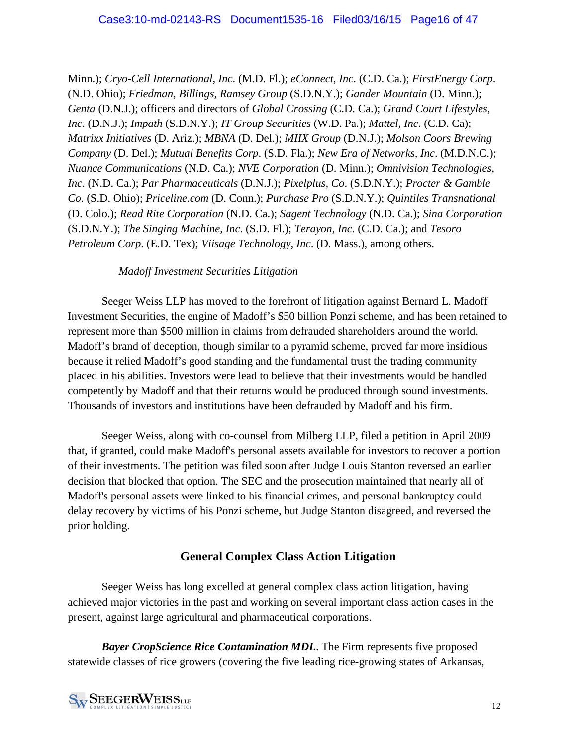Minn.); *Cryo-Cell International, Inc*. (M.D. Fl.); *eConnect, Inc*. (C.D. Ca.); *FirstEnergy Corp*. (N.D. Ohio); *Friedman, Billings, Ramsey Group* (S.D.N.Y.); *Gander Mountain* (D. Minn.); *Genta* (D.N.J.); officers and directors of *Global Crossing* (C.D. Ca.); *Grand Court Lifestyles, Inc*. (D.N.J.); *Impath* (S.D.N.Y.); *IT Group Securities* (W.D. Pa.); *Mattel, Inc*. (C.D. Ca); *Matrixx Initiatives* (D. Ariz.); *MBNA* (D. Del.); *MIIX Group* (D.N.J.); *Molson Coors Brewing Company* (D. Del.); *Mutual Benefits Corp*. (S.D. Fla.); *New Era of Networks, Inc*. (M.D.N.C.); *Nuance Communications* (N.D. Ca.); *NVE Corporation* (D. Minn.); *Omnivision Technologies, Inc*. (N.D. Ca.); *Par Pharmaceuticals* (D.N.J.); *Pixelplus, Co*. (S.D.N.Y.); *Procter & Gamble Co*. (S.D. Ohio); *Priceline.com* (D. Conn.); *Purchase Pro* (S.D.N.Y.); *Quintiles Transnational* (D. Colo.); *Read Rite Corporation* (N.D. Ca.); *Sagent Technology* (N.D. Ca.); *Sina Corporation* (S.D.N.Y.); *The Singing Machine, Inc*. (S.D. Fl.); *Terayon, Inc*. (C.D. Ca.); and *Tesoro Petroleum Corp*. (E.D. Tex); *Viisage Technology, Inc*. (D. Mass.), among others.

#### *Madoff Investment Securities Litigation*

Seeger Weiss LLP has moved to the forefront of litigation against Bernard L. Madoff Investment Securities, the engine of Madoff's \$50 billion Ponzi scheme, and has been retained to represent more than \$500 million in claims from defrauded shareholders around the world. Madoff's brand of deception, though similar to a pyramid scheme, proved far more insidious because it relied Madoff's good standing and the fundamental trust the trading community placed in his abilities. Investors were lead to believe that their investments would be handled competently by Madoff and that their returns would be produced through sound investments. Thousands of investors and institutions have been defrauded by Madoff and his firm.

Seeger Weiss, along with co-counsel from Milberg LLP, filed a petition in April 2009 that, if granted, could make Madoff's personal assets available for investors to recover a portion of their investments. The petition was filed soon after Judge Louis Stanton reversed an earlier decision that blocked that option. The SEC and the prosecution maintained that nearly all of Madoff's personal assets were linked to his financial crimes, and personal bankruptcy could delay recovery by victims of his Ponzi scheme, but Judge Stanton disagreed, and reversed the prior holding.

## **General Complex Class Action Litigation**

Seeger Weiss has long excelled at general complex class action litigation, having achieved major victories in the past and working on several important class action cases in the present, against large agricultural and pharmaceutical corporations.

*Bayer CropScience Rice Contamination MDL*. The Firm represents five proposed statewide classes of rice growers (covering the five leading rice-growing states of Arkansas,

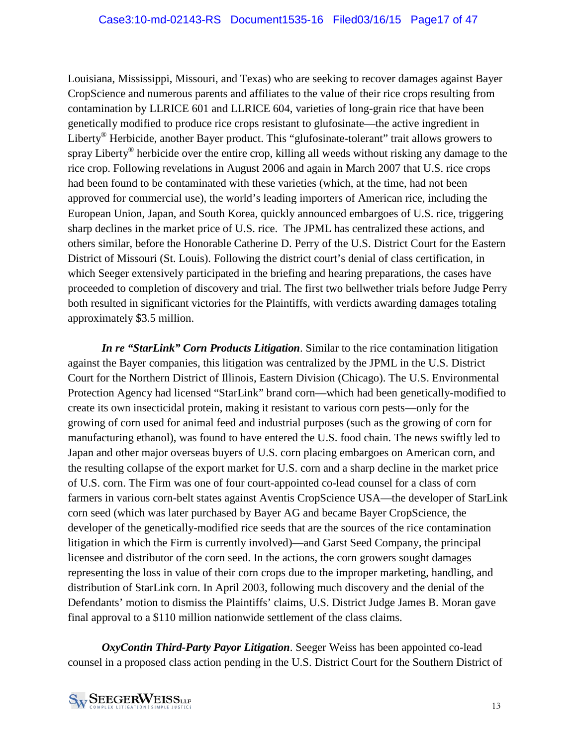Louisiana, Mississippi, Missouri, and Texas) who are seeking to recover damages against Bayer CropScience and numerous parents and affiliates to the value of their rice crops resulting from contamination by LLRICE 601 and LLRICE 604, varieties of long-grain rice that have been genetically modified to produce rice crops resistant to glufosinate—the active ingredient in Liberty<sup>®</sup> Herbicide, another Bayer product. This "glufosinate-tolerant" trait allows growers to spray Liberty® herbicide over the entire crop, killing all weeds without risking any damage to the rice crop. Following revelations in August 2006 and again in March 2007 that U.S. rice crops had been found to be contaminated with these varieties (which, at the time, had not been approved for commercial use), the world's leading importers of American rice, including the European Union, Japan, and South Korea, quickly announced embargoes of U.S. rice, triggering sharp declines in the market price of U.S. rice. The JPML has centralized these actions, and others similar, before the Honorable Catherine D. Perry of the U.S. District Court for the Eastern District of Missouri (St. Louis). Following the district court's denial of class certification, in which Seeger extensively participated in the briefing and hearing preparations, the cases have proceeded to completion of discovery and trial. The first two bellwether trials before Judge Perry both resulted in significant victories for the Plaintiffs, with verdicts awarding damages totaling approximately \$3.5 million.

*In re "StarLink" Corn Products Litigation*. Similar to the rice contamination litigation against the Bayer companies, this litigation was centralized by the JPML in the U.S. District Court for the Northern District of Illinois, Eastern Division (Chicago). The U.S. Environmental Protection Agency had licensed "StarLink" brand corn—which had been genetically-modified to create its own insecticidal protein, making it resistant to various corn pests—only for the growing of corn used for animal feed and industrial purposes (such as the growing of corn for manufacturing ethanol), was found to have entered the U.S. food chain. The news swiftly led to Japan and other major overseas buyers of U.S. corn placing embargoes on American corn, and the resulting collapse of the export market for U.S. corn and a sharp decline in the market price of U.S. corn. The Firm was one of four court-appointed co-lead counsel for a class of corn farmers in various corn-belt states against Aventis CropScience USA—the developer of StarLink corn seed (which was later purchased by Bayer AG and became Bayer CropScience, the developer of the genetically-modified rice seeds that are the sources of the rice contamination litigation in which the Firm is currently involved)—and Garst Seed Company, the principal licensee and distributor of the corn seed. In the actions, the corn growers sought damages representing the loss in value of their corn crops due to the improper marketing, handling, and distribution of StarLink corn. In April 2003, following much discovery and the denial of the Defendants' motion to dismiss the Plaintiffs' claims, U.S. District Judge James B. Moran gave final approval to a \$110 million nationwide settlement of the class claims.

*OxyContin Third-Party Payor Litigation*. Seeger Weiss has been appointed co-lead counsel in a proposed class action pending in the U.S. District Court for the Southern District of

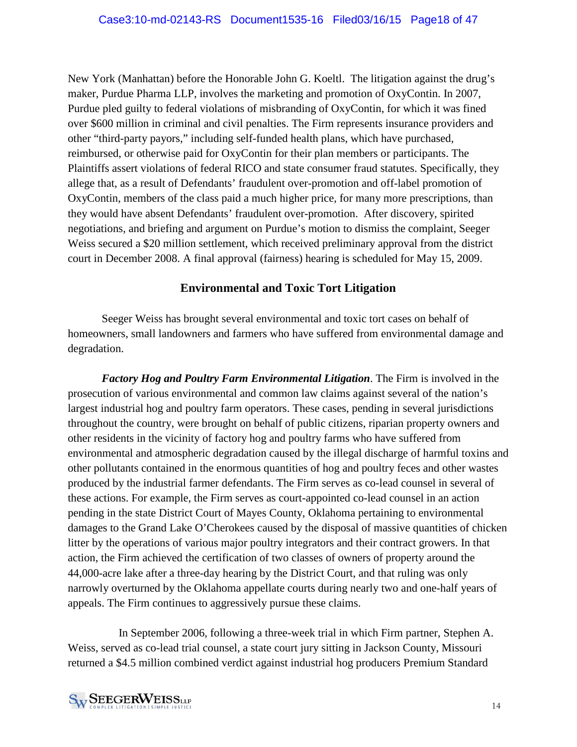New York (Manhattan) before the Honorable John G. Koeltl. The litigation against the drug's maker, Purdue Pharma LLP, involves the marketing and promotion of OxyContin. In 2007, Purdue pled guilty to federal violations of misbranding of OxyContin, for which it was fined over \$600 million in criminal and civil penalties. The Firm represents insurance providers and other "third-party payors," including self-funded health plans, which have purchased, reimbursed, or otherwise paid for OxyContin for their plan members or participants. The Plaintiffs assert violations of federal RICO and state consumer fraud statutes. Specifically, they allege that, as a result of Defendants' fraudulent over-promotion and off-label promotion of OxyContin, members of the class paid a much higher price, for many more prescriptions, than they would have absent Defendants' fraudulent over-promotion. After discovery, spirited negotiations, and briefing and argument on Purdue's motion to dismiss the complaint, Seeger Weiss secured a \$20 million settlement, which received preliminary approval from the district court in December 2008. A final approval (fairness) hearing is scheduled for May 15, 2009.

## **Environmental and Toxic Tort Litigation**

Seeger Weiss has brought several environmental and toxic tort cases on behalf of homeowners, small landowners and farmers who have suffered from environmental damage and degradation.

*Factory Hog and Poultry Farm Environmental Litigation*. The Firm is involved in the prosecution of various environmental and common law claims against several of the nation's largest industrial hog and poultry farm operators. These cases, pending in several jurisdictions throughout the country, were brought on behalf of public citizens, riparian property owners and other residents in the vicinity of factory hog and poultry farms who have suffered from environmental and atmospheric degradation caused by the illegal discharge of harmful toxins and other pollutants contained in the enormous quantities of hog and poultry feces and other wastes produced by the industrial farmer defendants. The Firm serves as co-lead counsel in several of these actions. For example, the Firm serves as court-appointed co-lead counsel in an action pending in the state District Court of Mayes County, Oklahoma pertaining to environmental damages to the Grand Lake O'Cherokees caused by the disposal of massive quantities of chicken litter by the operations of various major poultry integrators and their contract growers. In that action, the Firm achieved the certification of two classes of owners of property around the 44,000-acre lake after a three-day hearing by the District Court, and that ruling was only narrowly overturned by the Oklahoma appellate courts during nearly two and one-half years of appeals. The Firm continues to aggressively pursue these claims.

In September 2006, following a three-week trial in which Firm partner, Stephen A. Weiss, served as co-lead trial counsel, a state court jury sitting in Jackson County, Missouri returned a \$4.5 million combined verdict against industrial hog producers Premium Standard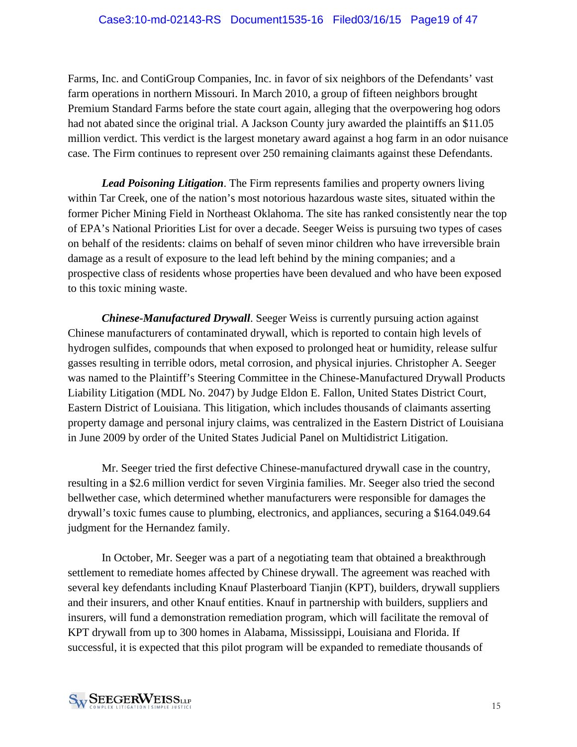Farms, Inc. and ContiGroup Companies, Inc. in favor of six neighbors of the Defendants' vast farm operations in northern Missouri. In March 2010, a group of fifteen neighbors brought Premium Standard Farms before the state court again, alleging that the overpowering hog odors had not abated since the original trial. A Jackson County jury awarded the plaintiffs an \$11.05 million verdict. This verdict is the largest monetary award against a hog farm in an odor nuisance case. The Firm continues to represent over 250 remaining claimants against these Defendants.

*Lead Poisoning Litigation*. The Firm represents families and property owners living within Tar Creek, one of the nation's most notorious hazardous waste sites, situated within the former Picher Mining Field in Northeast Oklahoma. The site has ranked consistently near the top of EPA's National Priorities List for over a decade. Seeger Weiss is pursuing two types of cases on behalf of the residents: claims on behalf of seven minor children who have irreversible brain damage as a result of exposure to the lead left behind by the mining companies; and a prospective class of residents whose properties have been devalued and who have been exposed to this toxic mining waste.

*Chinese-Manufactured Drywall*. Seeger Weiss is currently pursuing action against Chinese manufacturers of contaminated drywall, which is reported to contain high levels of hydrogen sulfides, compounds that when exposed to prolonged heat or humidity, release sulfur gasses resulting in terrible odors, metal corrosion, and physical injuries. Christopher A. Seeger was named to the Plaintiff's Steering Committee in the Chinese-Manufactured Drywall Products Liability Litigation (MDL No. 2047) by Judge Eldon E. Fallon, United States District Court, Eastern District of Louisiana. This litigation, which includes thousands of claimants asserting property damage and personal injury claims, was centralized in the Eastern District of Louisiana in June 2009 by order of the United States Judicial Panel on Multidistrict Litigation.

Mr. Seeger tried the first defective Chinese-manufactured drywall case in the country, resulting in a \$2.6 million verdict for seven Virginia families. Mr. Seeger also tried the second bellwether case, which determined whether manufacturers were responsible for damages the drywall's toxic fumes cause to plumbing, electronics, and appliances, securing a \$164.049.64 judgment for the Hernandez family.

In October, Mr. Seeger was a part of a negotiating team that obtained a breakthrough settlement to remediate homes affected by Chinese drywall. The agreement was reached with several key defendants including Knauf Plasterboard Tianjin (KPT), builders, drywall suppliers and their insurers, and other Knauf entities. Knauf in partnership with builders, suppliers and insurers, will fund a demonstration remediation program, which will facilitate the removal of KPT drywall from up to 300 homes in Alabama, Mississippi, Louisiana and Florida. If successful, it is expected that this pilot program will be expanded to remediate thousands of

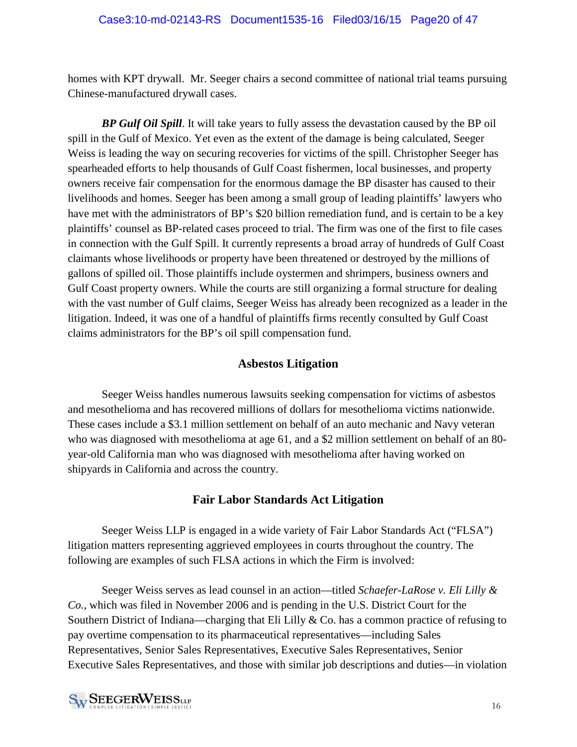homes with KPT drywall. Mr. Seeger chairs a second committee of national trial teams pursuing Chinese-manufactured drywall cases.

*BP Gulf Oil Spill*. It will take years to fully assess the devastation caused by the BP oil spill in the Gulf of Mexico. Yet even as the extent of the damage is being calculated, Seeger Weiss is leading the way on securing recoveries for victims of the spill. Christopher Seeger has spearheaded efforts to help thousands of Gulf Coast fishermen, local businesses, and property owners receive fair compensation for the enormous damage the BP disaster has caused to their livelihoods and homes. Seeger has been among a small group of leading plaintiffs' lawyers who have met with the administrators of BP's \$20 billion remediation fund, and is certain to be a key plaintiffs' counsel as BP-related cases proceed to trial. The firm was one of the first to file cases in connection with the Gulf Spill. It currently represents a broad array of hundreds of Gulf Coast claimants whose livelihoods or property have been threatened or destroyed by the millions of gallons of spilled oil. Those plaintiffs include oystermen and shrimpers, business owners and Gulf Coast property owners. While the courts are still organizing a formal structure for dealing with the vast number of Gulf claims, Seeger Weiss has already been recognized as a leader in the litigation. Indeed, it was one of a handful of plaintiffs firms recently consulted by Gulf Coast claims administrators for the BP's oil spill compensation fund.

## **Asbestos Litigation**

Seeger Weiss handles numerous lawsuits seeking compensation for victims of asbestos and mesothelioma and has recovered millions of dollars for mesothelioma victims nationwide. These cases include a \$3.1 million settlement on behalf of an auto mechanic and Navy veteran who was diagnosed with mesothelioma at age 61, and a \$2 million settlement on behalf of an 80 year-old California man who was diagnosed with mesothelioma after having worked on shipyards in California and across the country.

## **Fair Labor Standards Act Litigation**

Seeger Weiss LLP is engaged in a wide variety of Fair Labor Standards Act ("FLSA") litigation matters representing aggrieved employees in courts throughout the country. The following are examples of such FLSA actions in which the Firm is involved:

Seeger Weiss serves as lead counsel in an action—titled *Schaefer-LaRose v. Eli Lilly & Co.*, which was filed in November 2006 and is pending in the U.S. District Court for the Southern District of Indiana—charging that Eli Lilly & Co. has a common practice of refusing to pay overtime compensation to its pharmaceutical representatives—including Sales Representatives, Senior Sales Representatives, Executive Sales Representatives, Senior Executive Sales Representatives, and those with similar job descriptions and duties—in violation

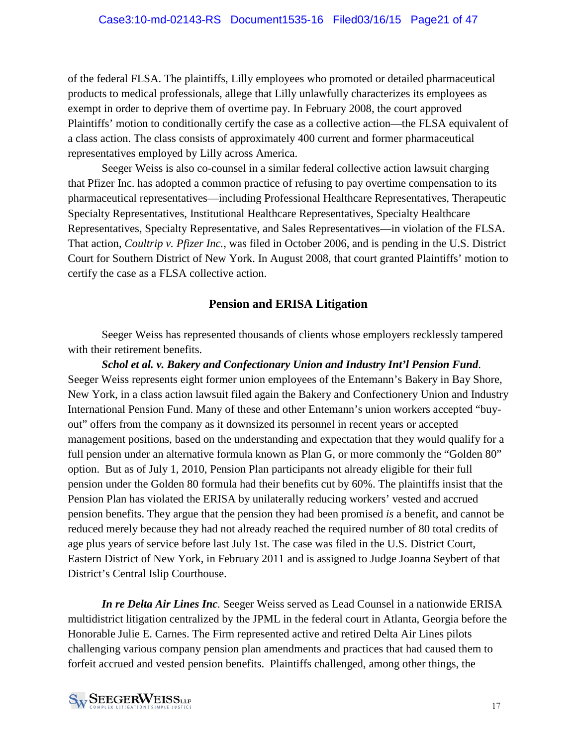of the federal FLSA. The plaintiffs, Lilly employees who promoted or detailed pharmaceutical products to medical professionals, allege that Lilly unlawfully characterizes its employees as exempt in order to deprive them of overtime pay. In February 2008, the court approved Plaintiffs' motion to conditionally certify the case as a collective action—the FLSA equivalent of a class action. The class consists of approximately 400 current and former pharmaceutical representatives employed by Lilly across America.

Seeger Weiss is also co-counsel in a similar federal collective action lawsuit charging that Pfizer Inc. has adopted a common practice of refusing to pay overtime compensation to its pharmaceutical representatives—including Professional Healthcare Representatives, Therapeutic Specialty Representatives, Institutional Healthcare Representatives, Specialty Healthcare Representatives, Specialty Representative, and Sales Representatives—in violation of the FLSA. That action, *Coultrip v. Pfizer Inc.*, was filed in October 2006, and is pending in the U.S. District Court for Southern District of New York. In August 2008, that court granted Plaintiffs' motion to certify the case as a FLSA collective action.

## **Pension and ERISA Litigation**

Seeger Weiss has represented thousands of clients whose employers recklessly tampered with their retirement benefits.

*Schol et al. v. Bakery and Confectionary Union and Industry Int'l Pension Fund*. Seeger Weiss represents eight former union employees of the Entemann's Bakery in Bay Shore, New York, in a class action lawsuit filed again the Bakery and Confectionery Union and Industry International Pension Fund. Many of these and other Entemann's union workers accepted "buyout" offers from the company as it downsized its personnel in recent years or accepted management positions, based on the understanding and expectation that they would qualify for a full pension under an alternative formula known as Plan G, or more commonly the "Golden 80" option. But as of July 1, 2010, Pension Plan participants not already eligible for their full pension under the Golden 80 formula had their benefits cut by 60%. The plaintiffs insist that the Pension Plan has violated the ERISA by unilaterally reducing workers' vested and accrued pension benefits. They argue that the pension they had been promised *is* a benefit, and cannot be reduced merely because they had not already reached the required number of 80 total credits of age plus years of service before last July 1st. The case was filed in the U.S. District Court, Eastern District of New York, in February 2011 and is assigned to Judge Joanna Seybert of that District's Central Islip Courthouse.

*In re Delta Air Lines Inc.* Seeger Weiss served as Lead Counsel in a nationwide ERISA multidistrict litigation centralized by the JPML in the federal court in Atlanta, Georgia before the Honorable Julie E. Carnes. The Firm represented active and retired Delta Air Lines pilots challenging various company pension plan amendments and practices that had caused them to forfeit accrued and vested pension benefits. Plaintiffs challenged, among other things, the

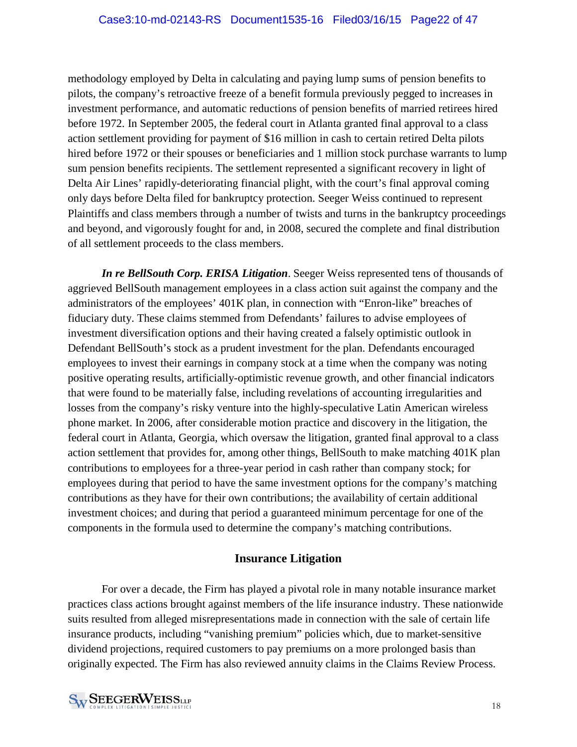methodology employed by Delta in calculating and paying lump sums of pension benefits to pilots, the company's retroactive freeze of a benefit formula previously pegged to increases in investment performance, and automatic reductions of pension benefits of married retirees hired before 1972. In September 2005, the federal court in Atlanta granted final approval to a class action settlement providing for payment of \$16 million in cash to certain retired Delta pilots hired before 1972 or their spouses or beneficiaries and 1 million stock purchase warrants to lump sum pension benefits recipients. The settlement represented a significant recovery in light of Delta Air Lines' rapidly-deteriorating financial plight, with the court's final approval coming only days before Delta filed for bankruptcy protection. Seeger Weiss continued to represent Plaintiffs and class members through a number of twists and turns in the bankruptcy proceedings and beyond, and vigorously fought for and, in 2008, secured the complete and final distribution of all settlement proceeds to the class members.

*In re BellSouth Corp. ERISA Litigation*. Seeger Weiss represented tens of thousands of aggrieved BellSouth management employees in a class action suit against the company and the administrators of the employees' 401K plan, in connection with "Enron-like" breaches of fiduciary duty. These claims stemmed from Defendants' failures to advise employees of investment diversification options and their having created a falsely optimistic outlook in Defendant BellSouth's stock as a prudent investment for the plan. Defendants encouraged employees to invest their earnings in company stock at a time when the company was noting positive operating results, artificially-optimistic revenue growth, and other financial indicators that were found to be materially false, including revelations of accounting irregularities and losses from the company's risky venture into the highly-speculative Latin American wireless phone market. In 2006, after considerable motion practice and discovery in the litigation, the federal court in Atlanta, Georgia, which oversaw the litigation, granted final approval to a class action settlement that provides for, among other things, BellSouth to make matching 401K plan contributions to employees for a three-year period in cash rather than company stock; for employees during that period to have the same investment options for the company's matching contributions as they have for their own contributions; the availability of certain additional investment choices; and during that period a guaranteed minimum percentage for one of the components in the formula used to determine the company's matching contributions.

## **Insurance Litigation**

For over a decade, the Firm has played a pivotal role in many notable insurance market practices class actions brought against members of the life insurance industry. These nationwide suits resulted from alleged misrepresentations made in connection with the sale of certain life insurance products, including "vanishing premium" policies which, due to market-sensitive dividend projections, required customers to pay premiums on a more prolonged basis than originally expected. The Firm has also reviewed annuity claims in the Claims Review Process.

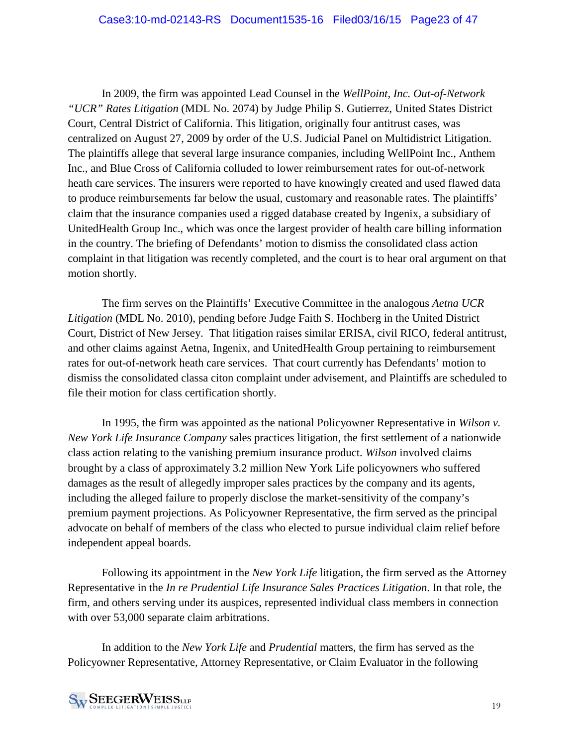In 2009, the firm was appointed Lead Counsel in the *WellPoint, Inc. Out-of-Network "UCR" Rates Litigation* (MDL No. 2074) by Judge Philip S. Gutierrez, United States District Court, Central District of California. This litigation, originally four antitrust cases, was centralized on August 27, 2009 by order of the U.S. Judicial Panel on Multidistrict Litigation. The plaintiffs allege that several large insurance companies, including WellPoint Inc., Anthem Inc., and Blue Cross of California colluded to lower reimbursement rates for out-of-network heath care services. The insurers were reported to have knowingly created and used flawed data to produce reimbursements far below the usual, customary and reasonable rates. The plaintiffs' claim that the insurance companies used a rigged database created by Ingenix, a subsidiary of UnitedHealth Group Inc., which was once the largest provider of health care billing information in the country. The briefing of Defendants' motion to dismiss the consolidated class action complaint in that litigation was recently completed, and the court is to hear oral argument on that motion shortly.

The firm serves on the Plaintiffs' Executive Committee in the analogous *Aetna UCR Litigation* (MDL No. 2010), pending before Judge Faith S. Hochberg in the United District Court, District of New Jersey. That litigation raises similar ERISA, civil RICO, federal antitrust, and other claims against Aetna, Ingenix, and UnitedHealth Group pertaining to reimbursement rates for out-of-network heath care services. That court currently has Defendants' motion to dismiss the consolidated classa citon complaint under advisement, and Plaintiffs are scheduled to file their motion for class certification shortly.

In 1995, the firm was appointed as the national Policyowner Representative in *Wilson v. New York Life Insurance Company* sales practices litigation, the first settlement of a nationwide class action relating to the vanishing premium insurance product. *Wilson* involved claims brought by a class of approximately 3.2 million New York Life policyowners who suffered damages as the result of allegedly improper sales practices by the company and its agents, including the alleged failure to properly disclose the market-sensitivity of the company's premium payment projections. As Policyowner Representative, the firm served as the principal advocate on behalf of members of the class who elected to pursue individual claim relief before independent appeal boards.

Following its appointment in the *New York Life* litigation, the firm served as the Attorney Representative in the *In re Prudential Life Insurance Sales Practices Litigation*. In that role, the firm, and others serving under its auspices, represented individual class members in connection with over 53,000 separate claim arbitrations.

In addition to the *New York Life* and *Prudential* matters, the firm has served as the Policyowner Representative, Attorney Representative, or Claim Evaluator in the following

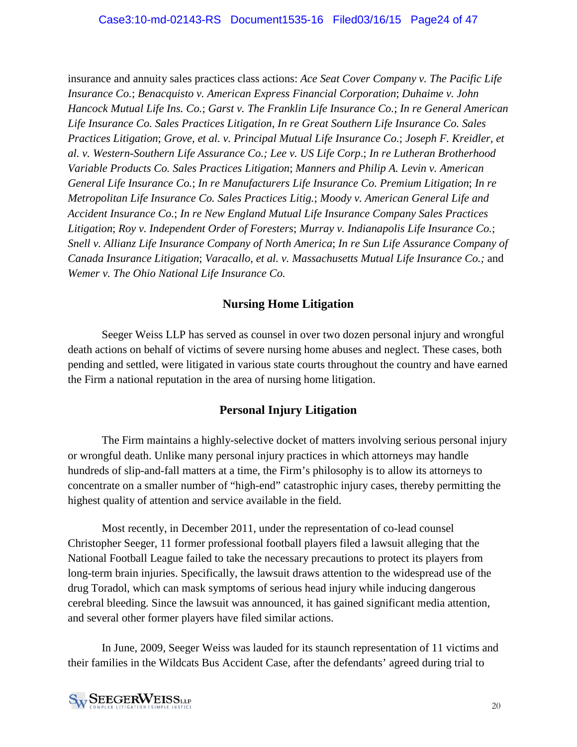insurance and annuity sales practices class actions: *Ace Seat Cover Company v. The Pacific Life Insurance Co.*; *Benacquisto v. American Express Financial Corporation*; *Duhaime v. John Hancock Mutual Life Ins. Co.*; *Garst v. The Franklin Life Insurance Co.*; *In re General American Life Insurance Co. Sales Practices Litigation*, *In re Great Southern Life Insurance Co. Sales Practices Litigation*; *Grove, et al. v. Principal Mutual Life Insurance Co.*; *Joseph F. Kreidler, et al. v. Western-Southern Life Assurance Co.; Lee v. US Life Corp*.; *In re Lutheran Brotherhood Variable Products Co. Sales Practices Litigation*; *Manners and Philip A. Levin v. American General Life Insurance Co.*; *In re Manufacturers Life Insurance Co. Premium Litigation*; *In re Metropolitan Life Insurance Co. Sales Practices Litig.*; *Moody v. American General Life and Accident Insurance Co.*; *In re New England Mutual Life Insurance Company Sales Practices Litigation*; *Roy v. Independent Order of Foresters*; *Murray v. Indianapolis Life Insurance Co.*; *Snell v. Allianz Life Insurance Company of North America*; *In re Sun Life Assurance Company of Canada Insurance Litigation*; *Varacallo, et al. v. Massachusetts Mutual Life Insurance Co.;* and *Wemer v. The Ohio National Life Insurance Co.*

## **Nursing Home Litigation**

Seeger Weiss LLP has served as counsel in over two dozen personal injury and wrongful death actions on behalf of victims of severe nursing home abuses and neglect. These cases, both pending and settled, were litigated in various state courts throughout the country and have earned the Firm a national reputation in the area of nursing home litigation.

## **Personal Injury Litigation**

The Firm maintains a highly-selective docket of matters involving serious personal injury or wrongful death. Unlike many personal injury practices in which attorneys may handle hundreds of slip-and-fall matters at a time, the Firm's philosophy is to allow its attorneys to concentrate on a smaller number of "high-end" catastrophic injury cases, thereby permitting the highest quality of attention and service available in the field.

Most recently, in December 2011, under the representation of co-lead counsel Christopher Seeger, 11 former professional football players filed a lawsuit alleging that the National Football League failed to take the necessary precautions to protect its players from long-term brain injuries. Specifically, the lawsuit draws attention to the widespread use of the drug Toradol, which can mask symptoms of serious head injury while inducing dangerous cerebral bleeding. Since the lawsuit was announced, it has gained significant media attention, and several other former players have filed similar actions.

In June, 2009, Seeger Weiss was lauded for its staunch representation of 11 victims and their families in the Wildcats Bus Accident Case, after the defendants' agreed during trial to

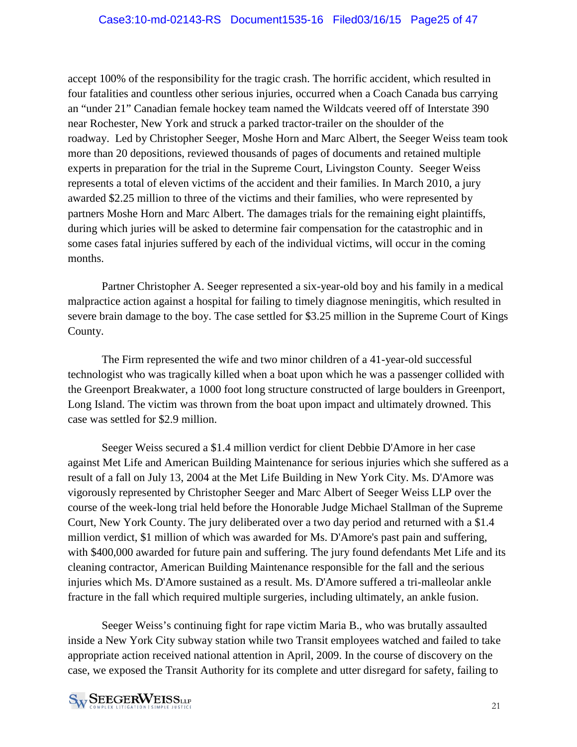accept 100% of the responsibility for the tragic crash. The horrific accident, which resulted in four fatalities and countless other serious injuries, occurred when a Coach Canada bus carrying an "under 21" Canadian female hockey team named the Wildcats veered off of Interstate 390 near Rochester, New York and struck a parked tractor-trailer on the shoulder of the roadway. Led by Christopher Seeger, Moshe Horn and Marc Albert, the Seeger Weiss team took more than 20 depositions, reviewed thousands of pages of documents and retained multiple experts in preparation for the trial in the Supreme Court, Livingston County. Seeger Weiss represents a total of eleven victims of the accident and their families. In March 2010, a jury awarded \$2.25 million to three of the victims and their families, who were represented by partners Moshe Horn and Marc Albert. The damages trials for the remaining eight plaintiffs, during which juries will be asked to determine fair compensation for the catastrophic and in some cases fatal injuries suffered by each of the individual victims, will occur in the coming months.

Partner Christopher A. Seeger represented a six-year-old boy and his family in a medical malpractice action against a hospital for failing to timely diagnose meningitis, which resulted in severe brain damage to the boy. The case settled for \$3.25 million in the Supreme Court of Kings County.

The Firm represented the wife and two minor children of a 41-year-old successful technologist who was tragically killed when a boat upon which he was a passenger collided with the Greenport Breakwater, a 1000 foot long structure constructed of large boulders in Greenport, Long Island. The victim was thrown from the boat upon impact and ultimately drowned. This case was settled for \$2.9 million.

Seeger Weiss secured a \$1.4 million verdict for client Debbie D'Amore in her case against Met Life and American Building Maintenance for serious injuries which she suffered as a result of a fall on July 13, 2004 at the Met Life Building in New York City. Ms. D'Amore was vigorously represented by Christopher Seeger and Marc Albert of Seeger Weiss LLP over the course of the week-long trial held before the Honorable Judge Michael Stallman of the Supreme Court, New York County. The jury deliberated over a two day period and returned with a \$1.4 million verdict, \$1 million of which was awarded for Ms. D'Amore's past pain and suffering, with \$400,000 awarded for future pain and suffering. The jury found defendants Met Life and its cleaning contractor, American Building Maintenance responsible for the fall and the serious injuries which Ms. D'Amore sustained as a result. Ms. D'Amore suffered a tri-malleolar ankle fracture in the fall which required multiple surgeries, including ultimately, an ankle fusion.

Seeger Weiss's continuing fight for rape victim Maria B., who was brutally assaulted inside a New York City subway station while two Transit employees watched and failed to take appropriate action received national attention in April, 2009. In the course of discovery on the case, we exposed the Transit Authority for its complete and utter disregard for safety, failing to

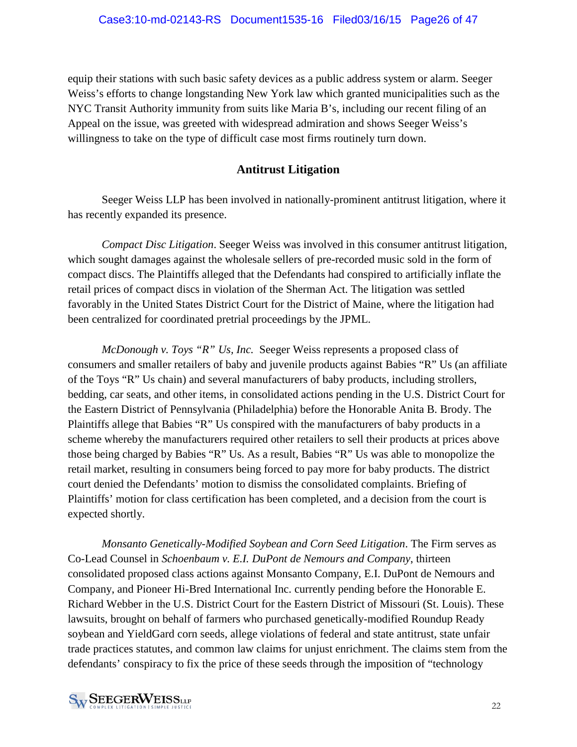equip their stations with such basic safety devices as a public address system or alarm. Seeger Weiss's efforts to change longstanding New York law which granted municipalities such as the NYC Transit Authority immunity from suits like Maria B's, including our recent filing of an Appeal on the issue, was greeted with widespread admiration and shows Seeger Weiss's willingness to take on the type of difficult case most firms routinely turn down.

#### **Antitrust Litigation**

Seeger Weiss LLP has been involved in nationally-prominent antitrust litigation, where it has recently expanded its presence.

*Compact Disc Litigation*. Seeger Weiss was involved in this consumer antitrust litigation, which sought damages against the wholesale sellers of pre-recorded music sold in the form of compact discs. The Plaintiffs alleged that the Defendants had conspired to artificially inflate the retail prices of compact discs in violation of the Sherman Act. The litigation was settled favorably in the United States District Court for the District of Maine, where the litigation had been centralized for coordinated pretrial proceedings by the JPML.

*McDonough v. Toys "R" Us, Inc.* Seeger Weiss represents a proposed class of consumers and smaller retailers of baby and juvenile products against Babies "R" Us (an affiliate of the Toys "R" Us chain) and several manufacturers of baby products, including strollers, bedding, car seats, and other items, in consolidated actions pending in the U.S. District Court for the Eastern District of Pennsylvania (Philadelphia) before the Honorable Anita B. Brody. The Plaintiffs allege that Babies "R" Us conspired with the manufacturers of baby products in a scheme whereby the manufacturers required other retailers to sell their products at prices above those being charged by Babies "R" Us. As a result, Babies "R" Us was able to monopolize the retail market, resulting in consumers being forced to pay more for baby products. The district court denied the Defendants' motion to dismiss the consolidated complaints. Briefing of Plaintiffs' motion for class certification has been completed, and a decision from the court is expected shortly.

*Monsanto Genetically-Modified Soybean and Corn Seed Litigation*. The Firm serves as Co-Lead Counsel in *Schoenbaum v. E.I. DuPont de Nemours and Company*, thirteen consolidated proposed class actions against Monsanto Company, E.I. DuPont de Nemours and Company, and Pioneer Hi-Bred International Inc. currently pending before the Honorable E. Richard Webber in the U.S. District Court for the Eastern District of Missouri (St. Louis). These lawsuits, brought on behalf of farmers who purchased genetically-modified Roundup Ready soybean and YieldGard corn seeds, allege violations of federal and state antitrust, state unfair trade practices statutes, and common law claims for unjust enrichment. The claims stem from the defendants' conspiracy to fix the price of these seeds through the imposition of "technology

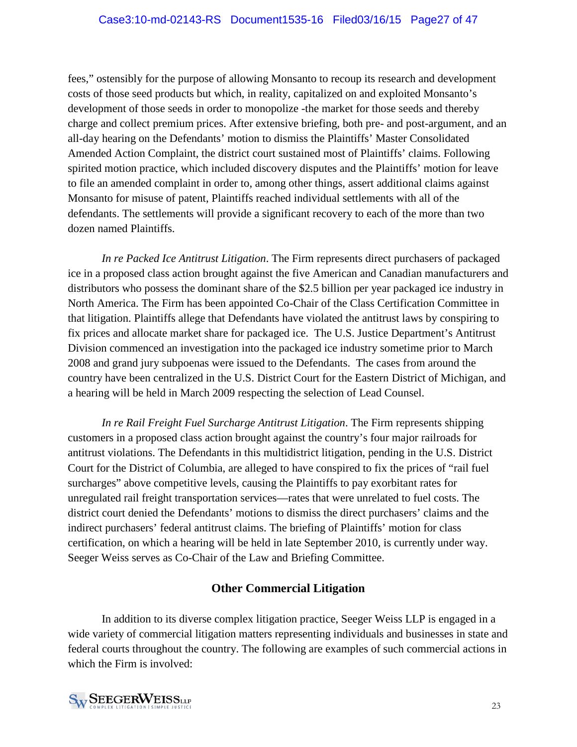fees," ostensibly for the purpose of allowing Monsanto to recoup its research and development costs of those seed products but which, in reality, capitalized on and exploited Monsanto's development of those seeds in order to monopolize -the market for those seeds and thereby charge and collect premium prices. After extensive briefing, both pre- and post-argument, and an all-day hearing on the Defendants' motion to dismiss the Plaintiffs' Master Consolidated Amended Action Complaint, the district court sustained most of Plaintiffs' claims. Following spirited motion practice, which included discovery disputes and the Plaintiffs' motion for leave to file an amended complaint in order to, among other things, assert additional claims against Monsanto for misuse of patent, Plaintiffs reached individual settlements with all of the defendants. The settlements will provide a significant recovery to each of the more than two dozen named Plaintiffs.

*In re Packed Ice Antitrust Litigation*. The Firm represents direct purchasers of packaged ice in a proposed class action brought against the five American and Canadian manufacturers and distributors who possess the dominant share of the \$2.5 billion per year packaged ice industry in North America. The Firm has been appointed Co-Chair of the Class Certification Committee in that litigation. Plaintiffs allege that Defendants have violated the antitrust laws by conspiring to fix prices and allocate market share for packaged ice. The U.S. Justice Department's Antitrust Division commenced an investigation into the packaged ice industry sometime prior to March 2008 and grand jury subpoenas were issued to the Defendants. The cases from around the country have been centralized in the U.S. District Court for the Eastern District of Michigan, and a hearing will be held in March 2009 respecting the selection of Lead Counsel.

*In re Rail Freight Fuel Surcharge Antitrust Litigation*. The Firm represents shipping customers in a proposed class action brought against the country's four major railroads for antitrust violations. The Defendants in this multidistrict litigation, pending in the U.S. District Court for the District of Columbia, are alleged to have conspired to fix the prices of "rail fuel surcharges" above competitive levels, causing the Plaintiffs to pay exorbitant rates for unregulated rail freight transportation services—rates that were unrelated to fuel costs. The district court denied the Defendants' motions to dismiss the direct purchasers' claims and the indirect purchasers' federal antitrust claims. The briefing of Plaintiffs' motion for class certification, on which a hearing will be held in late September 2010, is currently under way. Seeger Weiss serves as Co-Chair of the Law and Briefing Committee.

## **Other Commercial Litigation**

In addition to its diverse complex litigation practice, Seeger Weiss LLP is engaged in a wide variety of commercial litigation matters representing individuals and businesses in state and federal courts throughout the country. The following are examples of such commercial actions in which the Firm is involved:

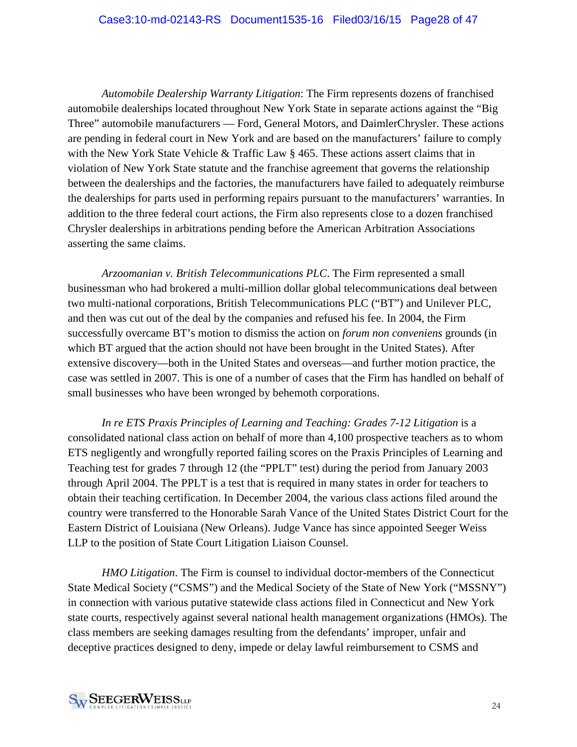#### Case3:10-md-02143-RS Document1535-16 Filed03/16/15 Page28 of 47

*Automobile Dealership Warranty Litigation*: The Firm represents dozens of franchised automobile dealerships located throughout New York State in separate actions against the "Big Three" automobile manufacturers — Ford, General Motors, and DaimlerChrysler. These actions are pending in federal court in New York and are based on the manufacturers' failure to comply with the New York State Vehicle & Traffic Law § 465. These actions assert claims that in violation of New York State statute and the franchise agreement that governs the relationship between the dealerships and the factories, the manufacturers have failed to adequately reimburse the dealerships for parts used in performing repairs pursuant to the manufacturers' warranties. In addition to the three federal court actions, the Firm also represents close to a dozen franchised Chrysler dealerships in arbitrations pending before the American Arbitration Associations asserting the same claims.

*Arzoomanian v. British Telecommunications PLC*. The Firm represented a small businessman who had brokered a multi-million dollar global telecommunications deal between two multi-national corporations, British Telecommunications PLC ("BT") and Unilever PLC, and then was cut out of the deal by the companies and refused his fee. In 2004, the Firm successfully overcame BT's motion to dismiss the action on *forum non conveniens* grounds (in which BT argued that the action should not have been brought in the United States). After extensive discovery—both in the United States and overseas—and further motion practice, the case was settled in 2007. This is one of a number of cases that the Firm has handled on behalf of small businesses who have been wronged by behemoth corporations.

*In re ETS Praxis Principles of Learning and Teaching: Grades 7-12 Litigation* is a consolidated national class action on behalf of more than 4,100 prospective teachers as to whom ETS negligently and wrongfully reported failing scores on the Praxis Principles of Learning and Teaching test for grades 7 through 12 (the "PPLT" test) during the period from January 2003 through April 2004. The PPLT is a test that is required in many states in order for teachers to obtain their teaching certification. In December 2004, the various class actions filed around the country were transferred to the Honorable Sarah Vance of the United States District Court for the Eastern District of Louisiana (New Orleans). Judge Vance has since appointed Seeger Weiss LLP to the position of State Court Litigation Liaison Counsel.

*HMO Litigation*. The Firm is counsel to individual doctor-members of the Connecticut State Medical Society ("CSMS") and the Medical Society of the State of New York ("MSSNY") in connection with various putative statewide class actions filed in Connecticut and New York state courts, respectively against several national health management organizations (HMOs). The class members are seeking damages resulting from the defendants' improper, unfair and deceptive practices designed to deny, impede or delay lawful reimbursement to CSMS and

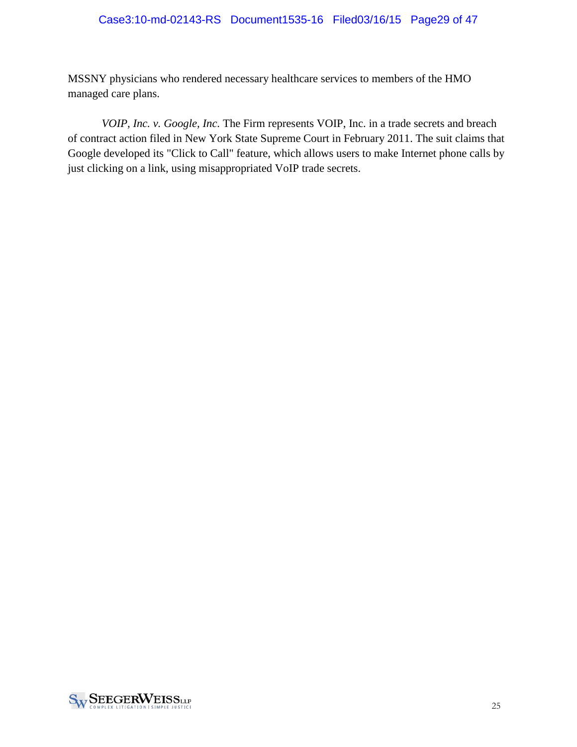#### Case3:10-md-02143-RS Document1535-16 Filed03/16/15 Page29 of 47

MSSNY physicians who rendered necessary healthcare services to members of the HMO managed care plans.

*VOIP, Inc. v. Google, Inc.* The Firm represents VOIP, Inc. in a trade secrets and breach of contract action filed in New York State Supreme Court in February 2011. The suit claims that Google developed its "Click to Call" feature, which allows users to make Internet phone calls by just clicking on a link, using misappropriated VoIP trade secrets.

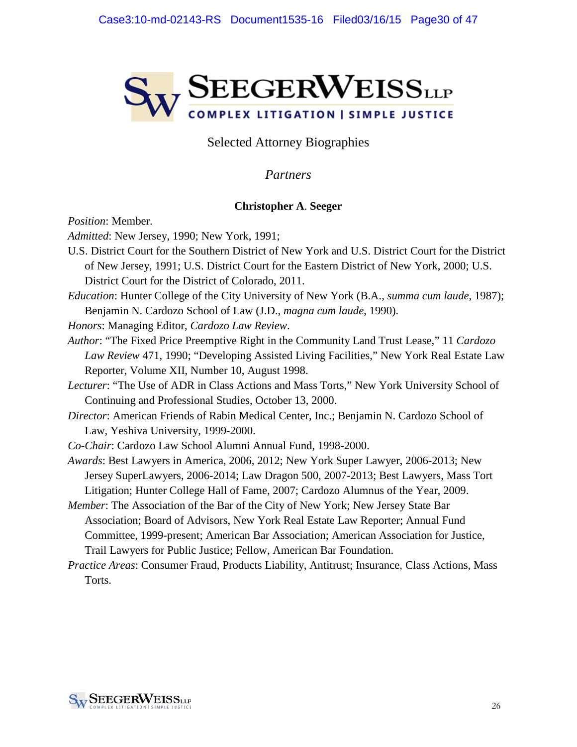

## Selected Attorney Biographies

### *Partners*

#### **Christopher A**. **Seeger**

*Position*: Member.

*Admitted*: New Jersey, 1990; New York, 1991;

- U.S. District Court for the Southern District of New York and U.S. District Court for the District of New Jersey, 1991; U.S. District Court for the Eastern District of New York, 2000; U.S. District Court for the District of Colorado, 2011.
- *Education*: Hunter College of the City University of New York (B.A., *summa cum laude*, 1987); Benjamin N. Cardozo School of Law (J.D., *magna cum laude*, 1990).

*Honors*: Managing Editor, *Cardozo Law Review*.

*Author*: "The Fixed Price Preemptive Right in the Community Land Trust Lease," 11 *Cardozo Law Review* 471, 1990; "Developing Assisted Living Facilities," New York Real Estate Law Reporter, Volume XII, Number 10, August 1998.

*Lecturer*: "The Use of ADR in Class Actions and Mass Torts," New York University School of Continuing and Professional Studies, October 13, 2000.

- *Director*: American Friends of Rabin Medical Center, Inc.; Benjamin N. Cardozo School of Law, Yeshiva University, 1999-2000.
- *Co-Chair*: Cardozo Law School Alumni Annual Fund, 1998-2000.

*Awards*: Best Lawyers in America, 2006, 2012; New York Super Lawyer, 2006-2013; New Jersey SuperLawyers, 2006-2014; Law Dragon 500, 2007-2013; Best Lawyers, Mass Tort Litigation; Hunter College Hall of Fame, 2007; Cardozo Alumnus of the Year, 2009.

- *Member*: The Association of the Bar of the City of New York; New Jersey State Bar Association; Board of Advisors, New York Real Estate Law Reporter; Annual Fund Committee, 1999-present; American Bar Association; American Association for Justice, Trail Lawyers for Public Justice; Fellow, American Bar Foundation.
- *Practice Areas*: Consumer Fraud, Products Liability, Antitrust; Insurance, Class Actions, Mass Torts.

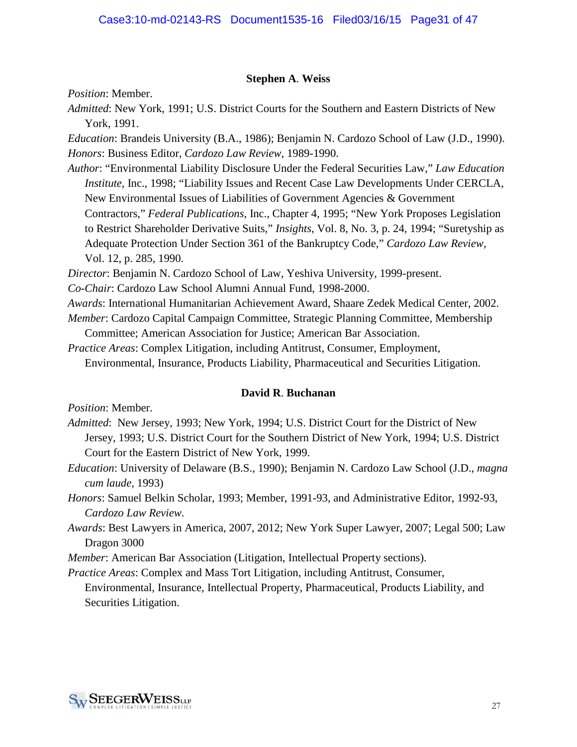#### **Stephen A**. **Weiss**

*Position*: Member.

*Admitted*: New York, 1991; U.S. District Courts for the Southern and Eastern Districts of New York, 1991.

*Education*: Brandeis University (B.A., 1986); Benjamin N. Cardozo School of Law (J.D., 1990). *Honors*: Business Editor, *Cardozo Law Review*, 1989-1990.

*Author*: "Environmental Liability Disclosure Under the Federal Securities Law," *Law Education Institute*, Inc., 1998; "Liability Issues and Recent Case Law Developments Under CERCLA, New Environmental Issues of Liabilities of Government Agencies & Government Contractors," *Federal Publications*, Inc., Chapter 4, 1995; "New York Proposes Legislation to Restrict Shareholder Derivative Suits," *Insights*, Vol. 8, No. 3, p. 24, 1994; "Suretyship as Adequate Protection Under Section 361 of the Bankruptcy Code," *Cardozo Law Review*, Vol. 12, p. 285, 1990.

*Director*: Benjamin N. Cardozo School of Law, Yeshiva University, 1999-present.

*Co-Chair*: Cardozo Law School Alumni Annual Fund, 1998-2000.

*Awards*: International Humanitarian Achievement Award, Shaare Zedek Medical Center, 2002. *Member*: Cardozo Capital Campaign Committee, Strategic Planning Committee, Membership

Committee; American Association for Justice; American Bar Association.

*Practice Areas*: Complex Litigation, including Antitrust, Consumer, Employment, Environmental, Insurance, Products Liability, Pharmaceutical and Securities Litigation.

#### **David R**. **Buchanan**

*Position*: Member.

- *Admitted*: New Jersey, 1993; New York, 1994; U.S. District Court for the District of New Jersey, 1993; U.S. District Court for the Southern District of New York, 1994; U.S. District Court for the Eastern District of New York, 1999.
- *Education*: University of Delaware (B.S., 1990); Benjamin N. Cardozo Law School (J.D., *magna cum laude*, 1993)
- *Honors*: Samuel Belkin Scholar, 1993; Member, 1991-93, and Administrative Editor, 1992-93, *Cardozo Law Review*.
- *Awards*: Best Lawyers in America, 2007, 2012; New York Super Lawyer, 2007; Legal 500; Law Dragon 3000
- *Member*: American Bar Association (Litigation, Intellectual Property sections).

*Practice Areas*: Complex and Mass Tort Litigation, including Antitrust, Consumer,

Environmental, Insurance, Intellectual Property, Pharmaceutical, Products Liability, and Securities Litigation.

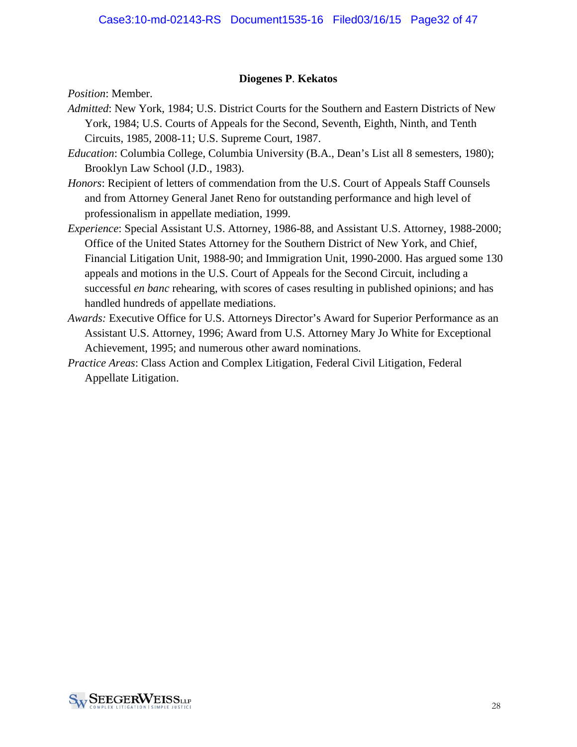#### **Diogenes P**. **Kekatos**

*Position*: Member.

- *Admitted*: New York, 1984; U.S. District Courts for the Southern and Eastern Districts of New York, 1984; U.S. Courts of Appeals for the Second, Seventh, Eighth, Ninth, and Tenth Circuits, 1985, 2008-11; U.S. Supreme Court, 1987.
- *Education*: Columbia College, Columbia University (B.A., Dean's List all 8 semesters, 1980); Brooklyn Law School (J.D., 1983).
- *Honors*: Recipient of letters of commendation from the U.S. Court of Appeals Staff Counsels and from Attorney General Janet Reno for outstanding performance and high level of professionalism in appellate mediation, 1999.
- *Experience*: Special Assistant U.S. Attorney, 1986-88, and Assistant U.S. Attorney, 1988-2000; Office of the United States Attorney for the Southern District of New York, and Chief, Financial Litigation Unit, 1988-90; and Immigration Unit, 1990-2000. Has argued some 130 appeals and motions in the U.S. Court of Appeals for the Second Circuit, including a successful *en banc* rehearing, with scores of cases resulting in published opinions; and has handled hundreds of appellate mediations.
- *Awards:* Executive Office for U.S. Attorneys Director's Award for Superior Performance as an Assistant U.S. Attorney, 1996; Award from U.S. Attorney Mary Jo White for Exceptional Achievement, 1995; and numerous other award nominations.
- *Practice Areas*: Class Action and Complex Litigation, Federal Civil Litigation, Federal Appellate Litigation.

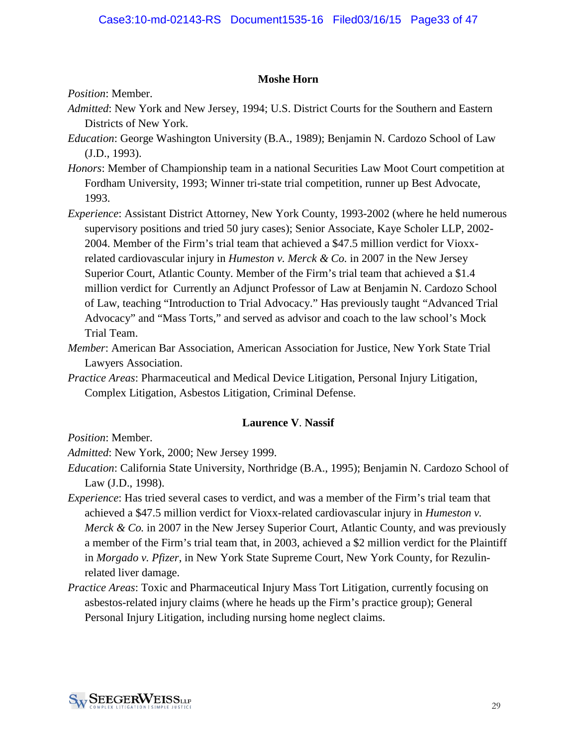#### **Moshe Horn**

*Position*: Member.

- *Admitted*: New York and New Jersey, 1994; U.S. District Courts for the Southern and Eastern Districts of New York.
- *Education*: George Washington University (B.A., 1989); Benjamin N. Cardozo School of Law (J.D., 1993).
- *Honors*: Member of Championship team in a national Securities Law Moot Court competition at Fordham University, 1993; Winner tri-state trial competition, runner up Best Advocate, 1993.
- *Experience*: Assistant District Attorney, New York County, 1993-2002 (where he held numerous supervisory positions and tried 50 jury cases); Senior Associate, Kaye Scholer LLP, 2002- 2004. Member of the Firm's trial team that achieved a \$47.5 million verdict for Vioxxrelated cardiovascular injury in *Humeston v. Merck & Co.* in 2007 in the New Jersey Superior Court, Atlantic County. Member of the Firm's trial team that achieved a \$1.4 million verdict for Currently an Adjunct Professor of Law at Benjamin N. Cardozo School of Law, teaching "Introduction to Trial Advocacy." Has previously taught "Advanced Trial Advocacy" and "Mass Torts," and served as advisor and coach to the law school's Mock Trial Team.
- *Member*: American Bar Association, American Association for Justice, New York State Trial Lawyers Association.
- *Practice Areas*: Pharmaceutical and Medical Device Litigation, Personal Injury Litigation, Complex Litigation, Asbestos Litigation, Criminal Defense.

#### **Laurence V**. **Nassif**

*Position*: Member.

*Admitted*: New York, 2000; New Jersey 1999.

- *Education*: California State University, Northridge (B.A., 1995); Benjamin N. Cardozo School of Law (J.D., 1998).
- *Experience*: Has tried several cases to verdict, and was a member of the Firm's trial team that achieved a \$47.5 million verdict for Vioxx-related cardiovascular injury in *Humeston v. Merck & Co.* in 2007 in the New Jersey Superior Court, Atlantic County, and was previously a member of the Firm's trial team that, in 2003, achieved a \$2 million verdict for the Plaintiff in *Morgado v. Pfizer*, in New York State Supreme Court, New York County, for Rezulinrelated liver damage.
- *Practice Areas*: Toxic and Pharmaceutical Injury Mass Tort Litigation, currently focusing on asbestos-related injury claims (where he heads up the Firm's practice group); General Personal Injury Litigation, including nursing home neglect claims.

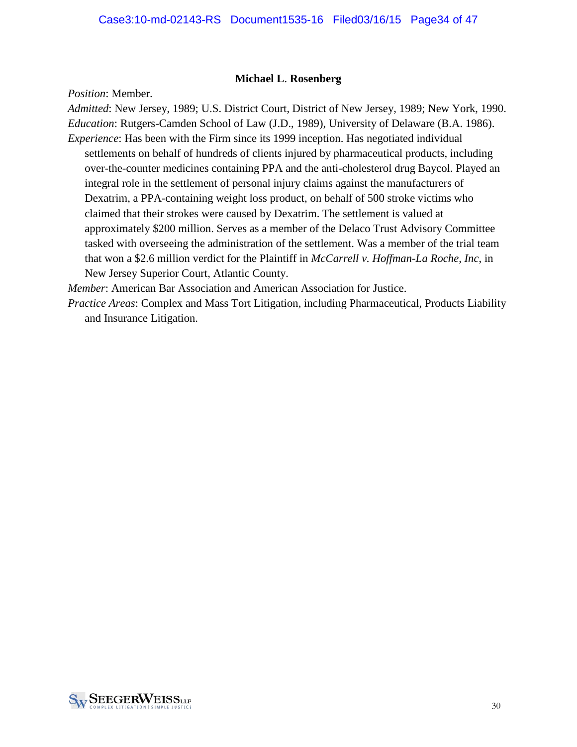#### **Michael L**. **Rosenberg**

*Position*: Member.

*Admitted*: New Jersey, 1989; U.S. District Court, District of New Jersey, 1989; New York, 1990. *Education*: Rutgers-Camden School of Law (J.D., 1989), University of Delaware (B.A. 1986). *Experience*: Has been with the Firm since its 1999 inception. Has negotiated individual settlements on behalf of hundreds of clients injured by pharmaceutical products, including over-the-counter medicines containing PPA and the anti-cholesterol drug Baycol. Played an integral role in the settlement of personal injury claims against the manufacturers of Dexatrim, a PPA-containing weight loss product, on behalf of 500 stroke victims who claimed that their strokes were caused by Dexatrim. The settlement is valued at approximately \$200 million. Serves as a member of the Delaco Trust Advisory Committee tasked with overseeing the administration of the settlement. Was a member of the trial team that won a \$2.6 million verdict for the Plaintiff in *McCarrell v. Hoffman-La Roche, Inc*, in New Jersey Superior Court, Atlantic County.

*Member*: American Bar Association and American Association for Justice.

*Practice Areas*: Complex and Mass Tort Litigation, including Pharmaceutical, Products Liability and Insurance Litigation.

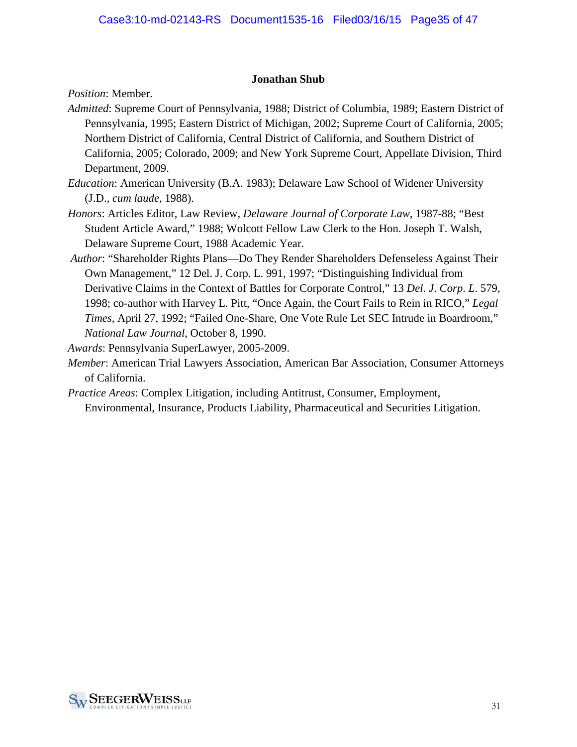#### **Jonathan Shub**

*Position*: Member.

- *Admitted*: Supreme Court of Pennsylvania, 1988; District of Columbia, 1989; Eastern District of Pennsylvania, 1995; Eastern District of Michigan, 2002; Supreme Court of California, 2005; Northern District of California, Central District of California, and Southern District of California, 2005; Colorado, 2009; and New York Supreme Court, Appellate Division, Third Department, 2009.
- *Education*: American University (B.A. 1983); Delaware Law School of Widener University (J.D., *cum laude*, 1988).
- *Honors*: Articles Editor, Law Review, *Delaware Journal of Corporate Law*, 1987-88; "Best Student Article Award," 1988; Wolcott Fellow Law Clerk to the Hon. Joseph T. Walsh, Delaware Supreme Court, 1988 Academic Year.
- *Author*: "Shareholder Rights Plans—Do They Render Shareholders Defenseless Against Their Own Management," 12 Del. J. Corp. L. 991, 1997; "Distinguishing Individual from Derivative Claims in the Context of Battles for Corporate Control," 13 *Del*. *J*. *Corp*. *L*. 579, 1998; co-author with Harvey L. Pitt, "Once Again, the Court Fails to Rein in RICO," *Legal Times*, April 27, 1992; "Failed One-Share, One Vote Rule Let SEC Intrude in Boardroom," *National Law Journal*, October 8, 1990.

*Awards*: Pennsylvania SuperLawyer, 2005-2009.

- *Member*: American Trial Lawyers Association, American Bar Association, Consumer Attorneys of California.
- *Practice Areas*: Complex Litigation, including Antitrust, Consumer, Employment, Environmental, Insurance, Products Liability, Pharmaceutical and Securities Litigation.

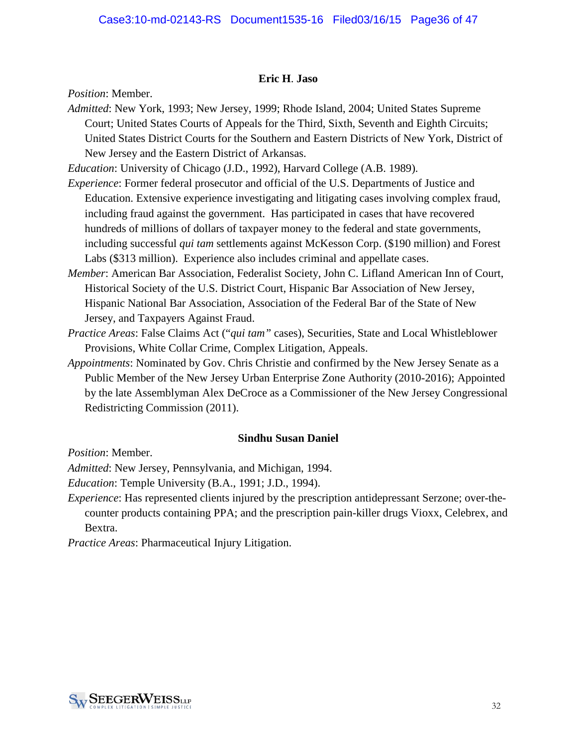#### **Eric H**. **Jaso**

*Position*: Member.

*Admitted*: New York, 1993; New Jersey, 1999; Rhode Island, 2004; United States Supreme Court; United States Courts of Appeals for the Third, Sixth, Seventh and Eighth Circuits; United States District Courts for the Southern and Eastern Districts of New York, District of New Jersey and the Eastern District of Arkansas.

*Education*: University of Chicago (J.D., 1992), Harvard College (A.B. 1989).

- *Experience*: Former federal prosecutor and official of the U.S. Departments of Justice and Education. Extensive experience investigating and litigating cases involving complex fraud, including fraud against the government. Has participated in cases that have recovered hundreds of millions of dollars of taxpayer money to the federal and state governments, including successful *qui tam* settlements against McKesson Corp. (\$190 million) and Forest Labs (\$313 million). Experience also includes criminal and appellate cases.
- *Member*: American Bar Association, Federalist Society, John C. Lifland American Inn of Court, Historical Society of the U.S. District Court, Hispanic Bar Association of New Jersey, Hispanic National Bar Association, Association of the Federal Bar of the State of New Jersey, and Taxpayers Against Fraud.
- *Practice Areas*: False Claims Act ("*qui tam"* cases), Securities, State and Local Whistleblower Provisions, White Collar Crime, Complex Litigation, Appeals.
- *Appointments*: Nominated by Gov. Chris Christie and confirmed by the New Jersey Senate as a Public Member of the New Jersey Urban Enterprise Zone Authority (2010-2016); Appointed by the late Assemblyman Alex DeCroce as a Commissioner of the New Jersey Congressional Redistricting Commission (2011).

#### **Sindhu Susan Daniel**

*Position*: Member.

*Admitted*: New Jersey, Pennsylvania, and Michigan, 1994.

*Education*: Temple University (B.A., 1991; J.D., 1994).

*Experience*: Has represented clients injured by the prescription antidepressant Serzone; over-thecounter products containing PPA; and the prescription pain-killer drugs Vioxx, Celebrex, and Bextra.

*Practice Areas*: Pharmaceutical Injury Litigation.

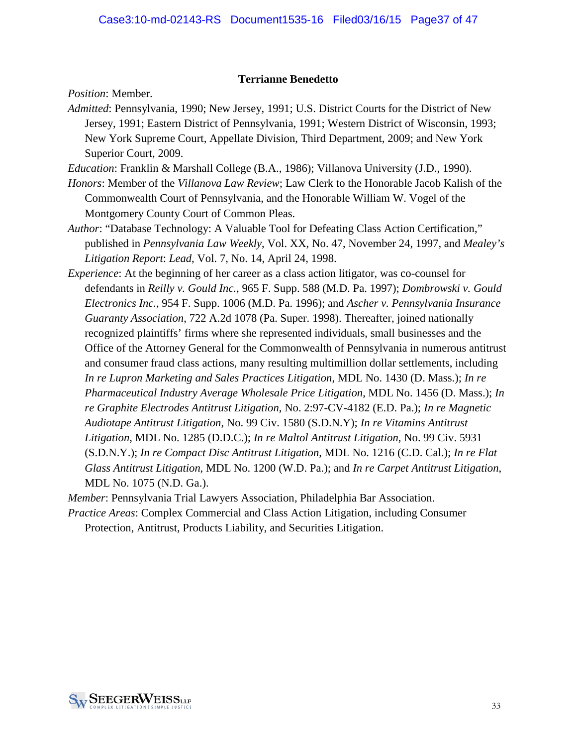#### **Terrianne Benedetto**

*Position*: Member.

- *Admitted*: Pennsylvania, 1990; New Jersey, 1991; U.S. District Courts for the District of New Jersey, 1991; Eastern District of Pennsylvania, 1991; Western District of Wisconsin, 1993; New York Supreme Court, Appellate Division, Third Department, 2009; and New York Superior Court, 2009.
- *Education*: Franklin & Marshall College (B.A., 1986); Villanova University (J.D., 1990).
- *Honors*: Member of the *Villanova Law Review*; Law Clerk to the Honorable Jacob Kalish of the Commonwealth Court of Pennsylvania, and the Honorable William W. Vogel of the Montgomery County Court of Common Pleas.
- *Author*: "Database Technology: A Valuable Tool for Defeating Class Action Certification," published in *Pennsylvania Law Weekly*, Vol. XX, No. 47, November 24, 1997, and *Mealey's Litigation Report*: *Lead*, Vol. 7, No. 14, April 24, 1998.
- *Experience*: At the beginning of her career as a class action litigator, was co-counsel for defendants in *Reilly v. Gould Inc.*, 965 F. Supp. 588 (M.D. Pa. 1997); *Dombrowski v. Gould Electronics Inc.*, 954 F. Supp. 1006 (M.D. Pa. 1996); and *Ascher v. Pennsylvania Insurance Guaranty Association*, 722 A.2d 1078 (Pa. Super. 1998). Thereafter, joined nationally recognized plaintiffs' firms where she represented individuals, small businesses and the Office of the Attorney General for the Commonwealth of Pennsylvania in numerous antitrust and consumer fraud class actions, many resulting multimillion dollar settlements, including *In re Lupron Marketing and Sales Practices Litigation*, MDL No. 1430 (D. Mass.); *In re Pharmaceutical Industry Average Wholesale Price Litigation*, MDL No. 1456 (D. Mass.); *In re Graphite Electrodes Antitrust Litigation*, No. 2:97-CV-4182 (E.D. Pa.); *In re Magnetic Audiotape Antitrust Litigation*, No. 99 Civ. 1580 (S.D.N.Y); *In re Vitamins Antitrust Litigation*, MDL No. 1285 (D.D.C.); *In re Maltol Antitrust Litigation*, No. 99 Civ. 5931 (S.D.N.Y.); *In re Compact Disc Antitrust Litigation*, MDL No. 1216 (C.D. Cal.); *In re Flat Glass Antitrust Litigation*, MDL No. 1200 (W.D. Pa.); and *In re Carpet Antitrust Litigation*, MDL No. 1075 (N.D. Ga.).

*Member*: Pennsylvania Trial Lawyers Association, Philadelphia Bar Association.

*Practice Areas*: Complex Commercial and Class Action Litigation, including Consumer Protection, Antitrust, Products Liability, and Securities Litigation.

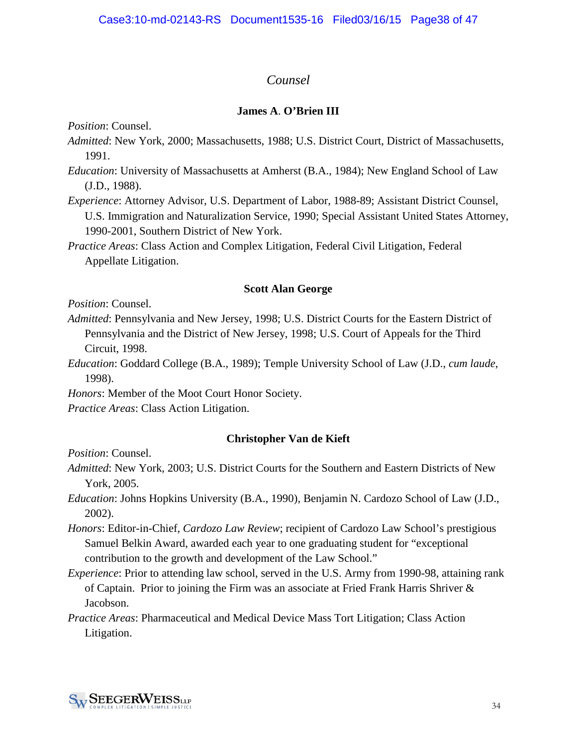## *Counsel*

### **James A**. **O'Brien III**

*Position*: Counsel.

- *Admitted*: New York, 2000; Massachusetts, 1988; U.S. District Court, District of Massachusetts, 1991.
- *Education*: University of Massachusetts at Amherst (B.A., 1984); New England School of Law (J.D., 1988).
- *Experience*: Attorney Advisor, U.S. Department of Labor, 1988-89; Assistant District Counsel, U.S. Immigration and Naturalization Service, 1990; Special Assistant United States Attorney, 1990-2001, Southern District of New York.
- *Practice Areas*: Class Action and Complex Litigation, Federal Civil Litigation, Federal Appellate Litigation.

#### **Scott Alan George**

*Position*: Counsel.

- *Admitted*: Pennsylvania and New Jersey, 1998; U.S. District Courts for the Eastern District of Pennsylvania and the District of New Jersey, 1998; U.S. Court of Appeals for the Third Circuit, 1998.
- *Education*: Goddard College (B.A., 1989); Temple University School of Law (J.D., *cum laude*, 1998).

*Honors*: Member of the Moot Court Honor Society.

*Practice Areas*: Class Action Litigation.

#### **Christopher Van de Kieft**

*Position*: Counsel.

- *Admitted*: New York, 2003; U.S. District Courts for the Southern and Eastern Districts of New York, 2005.
- *Education*: Johns Hopkins University (B.A., 1990), Benjamin N. Cardozo School of Law (J.D., 2002).
- *Honors*: Editor-in-Chief, *Cardozo Law Review*; recipient of Cardozo Law School's prestigious Samuel Belkin Award, awarded each year to one graduating student for "exceptional contribution to the growth and development of the Law School."
- *Experience*: Prior to attending law school, served in the U.S. Army from 1990-98, attaining rank of Captain. Prior to joining the Firm was an associate at Fried Frank Harris Shriver  $\&$ Jacobson.
- *Practice Areas*: Pharmaceutical and Medical Device Mass Tort Litigation; Class Action Litigation.

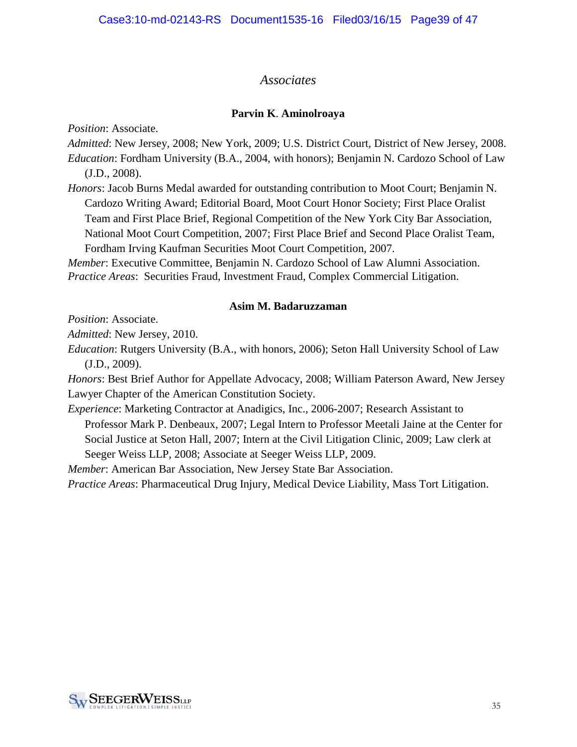## *Associates*

#### **Parvin K**. **Aminolroaya**

*Position*: Associate.

*Admitted*: New Jersey, 2008; New York, 2009; U.S. District Court, District of New Jersey, 2008. *Education*: Fordham University (B.A., 2004, with honors); Benjamin N. Cardozo School of Law (J.D., 2008).

*Honors*: Jacob Burns Medal awarded for outstanding contribution to Moot Court; Benjamin N. Cardozo Writing Award; Editorial Board, Moot Court Honor Society; First Place Oralist Team and First Place Brief, Regional Competition of the New York City Bar Association, National Moot Court Competition, 2007; First Place Brief and Second Place Oralist Team, Fordham Irving Kaufman Securities Moot Court Competition, 2007.

*Member*: Executive Committee, Benjamin N. Cardozo School of Law Alumni Association. *Practice Areas*:Securities Fraud, Investment Fraud, Complex Commercial Litigation.

#### **Asim M. Badaruzzaman**

*Position*: Associate.

*Admitted*: New Jersey, 2010.

*Education*: Rutgers University (B.A., with honors, 2006); Seton Hall University School of Law (J.D., 2009).

*Honors*: Best Brief Author for Appellate Advocacy, 2008; William Paterson Award, New Jersey Lawyer Chapter of the American Constitution Society.

*Experience*: Marketing Contractor at Anadigics, Inc., 2006-2007; Research Assistant to Professor Mark P. Denbeaux, 2007; Legal Intern to Professor Meetali Jaine at the Center for Social Justice at Seton Hall, 2007; Intern at the Civil Litigation Clinic, 2009; Law clerk at Seeger Weiss LLP, 2008; Associate at Seeger Weiss LLP, 2009.

*Member*: American Bar Association, New Jersey State Bar Association.

*Practice Areas*: Pharmaceutical Drug Injury, Medical Device Liability, Mass Tort Litigation.

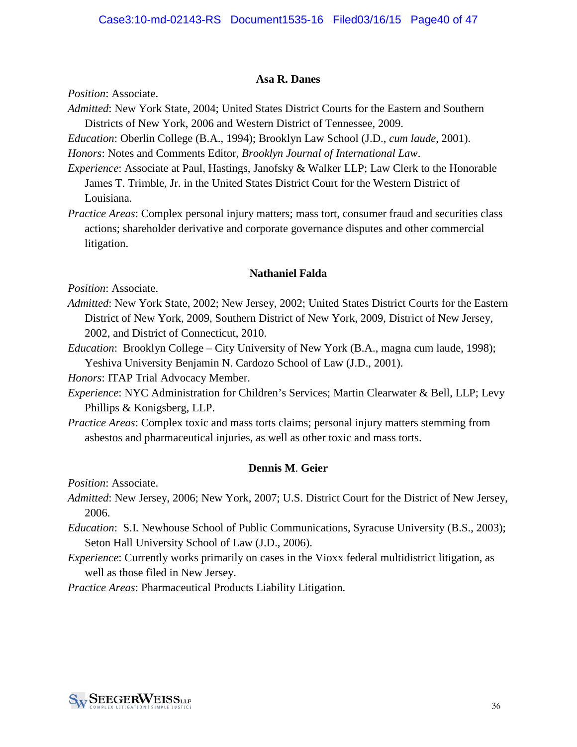#### **Asa R. Danes**

*Position*: Associate.

*Admitted*: New York State, 2004; United States District Courts for the Eastern and Southern Districts of New York, 2006 and Western District of Tennessee, 2009.

*Education*: Oberlin College (B.A., 1994); Brooklyn Law School (J.D., *cum laude*, 2001).

*Honors*: Notes and Comments Editor, *Brooklyn Journal of International Law*.

*Experience*: Associate at Paul, Hastings, Janofsky & Walker LLP; Law Clerk to the Honorable James T. Trimble, Jr. in the United States District Court for the Western District of Louisiana.

*Practice Areas*: Complex personal injury matters; mass tort, consumer fraud and securities class actions; shareholder derivative and corporate governance disputes and other commercial litigation.

#### **Nathaniel Falda**

*Position*: Associate.

- *Admitted*: New York State, 2002; New Jersey, 2002; United States District Courts for the Eastern District of New York, 2009, Southern District of New York, 2009, District of New Jersey, 2002, and District of Connecticut, 2010.
- *Education*: Brooklyn College City University of New York (B.A., magna cum laude, 1998); Yeshiva University Benjamin N. Cardozo School of Law (J.D., 2001).

*Honors*: ITAP Trial Advocacy Member.

- *Experience*: NYC Administration for Children's Services; Martin Clearwater & Bell, LLP; Levy Phillips & Konigsberg, LLP.
- *Practice Areas*: Complex toxic and mass torts claims; personal injury matters stemming from asbestos and pharmaceutical injuries, as well as other toxic and mass torts.

#### **Dennis M**. **Geier**

*Position*: Associate.

- *Admitted*: New Jersey, 2006; New York, 2007; U.S. District Court for the District of New Jersey, 2006.
- *Education*: S.I. Newhouse School of Public Communications, Syracuse University (B.S., 2003); Seton Hall University School of Law (J.D., 2006).
- *Experience*: Currently works primarily on cases in the Vioxx federal multidistrict litigation, as well as those filed in New Jersey.

*Practice Areas*: Pharmaceutical Products Liability Litigation.

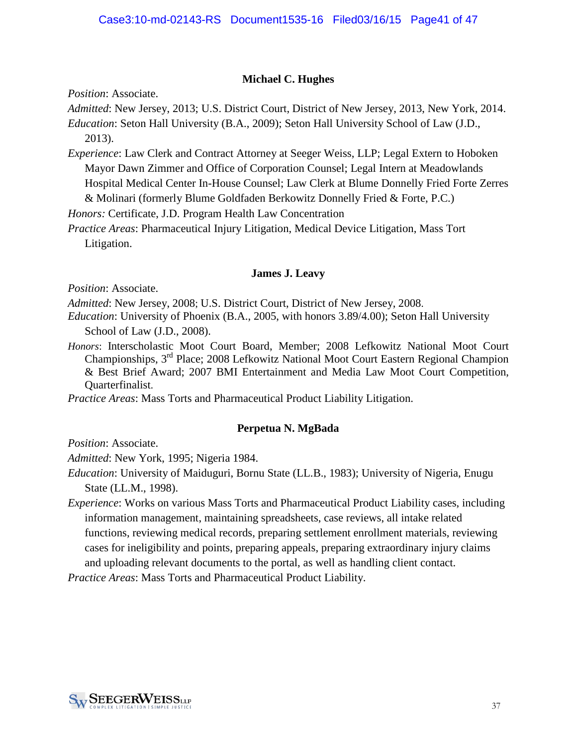#### **Michael C. Hughes**

*Position*: Associate.

*Admitted*: New Jersey, 2013; U.S. District Court, District of New Jersey, 2013, New York, 2014.

*Education*: Seton Hall University (B.A., 2009); Seton Hall University School of Law (J.D., 2013).

*Experience*: Law Clerk and Contract Attorney at Seeger Weiss, LLP; Legal Extern to Hoboken Mayor Dawn Zimmer and Office of Corporation Counsel; Legal Intern at Meadowlands Hospital Medical Center In-House Counsel; Law Clerk at Blume Donnelly Fried Forte Zerres & Molinari (formerly Blume Goldfaden Berkowitz Donnelly Fried & Forte, P.C.)

*Honors:* Certificate, J.D. Program Health Law Concentration

*Practice Areas*: Pharmaceutical Injury Litigation, Medical Device Litigation, Mass Tort Litigation.

#### **[James J. Leavy](http://www.martindale.com/xp/Martindale/Lawyer_Locator/Search_Lawyer_Locator/atty_listing.xml?l=6FA3D911457BB3&a=A6DB0F457DAEE5&&searchid=200702271521446335258&PRV=LL2&STYPE=N)**

*Position*: Associate.

*Admitted*: New Jersey, 2008; U.S. District Court, District of New Jersey, 2008.

*Education*: University of Phoenix (B.A., 2005, with honors 3.89/4.00); Seton Hall University School of Law (J.D., 2008).

*Honors*: Interscholastic Moot Court Board, Member; 2008 Lefkowitz National Moot Court Championships, 3<sup>rd</sup> Place; 2008 Lefkowitz National Moot Court Eastern Regional Champion & Best Brief Award; 2007 BMI Entertainment and Media Law Moot Court Competition, Quarterfinalist.

*Practice Areas*: Mass Torts and Pharmaceutical Product Liability Litigation.

#### **[Perpetua N. MgBada](http://www.martindale.com/xp/Martindale/Lawyer_Locator/Search_Lawyer_Locator/atty_listing.xml?l=6FA3D911457BB3&a=A6DB0F457DAEE5&&searchid=200702271521446335258&PRV=LL2&STYPE=N)**

*Position*: Associate.

*Admitted*: New York, 1995; Nigeria 1984.

*Education*: University of Maiduguri, Bornu State (LL.B., 1983); University of Nigeria, Enugu State (LL.M., 1998).

*Experience*: Works on various Mass Torts and Pharmaceutical Product Liability cases, including information management, maintaining spreadsheets, case reviews, all intake related functions, reviewing medical records, preparing settlement enrollment materials, reviewing cases for ineligibility and points, preparing appeals, preparing extraordinary injury claims and uploading relevant documents to the portal, as well as handling client contact.

*Practice Areas*: Mass Torts and Pharmaceutical Product Liability.

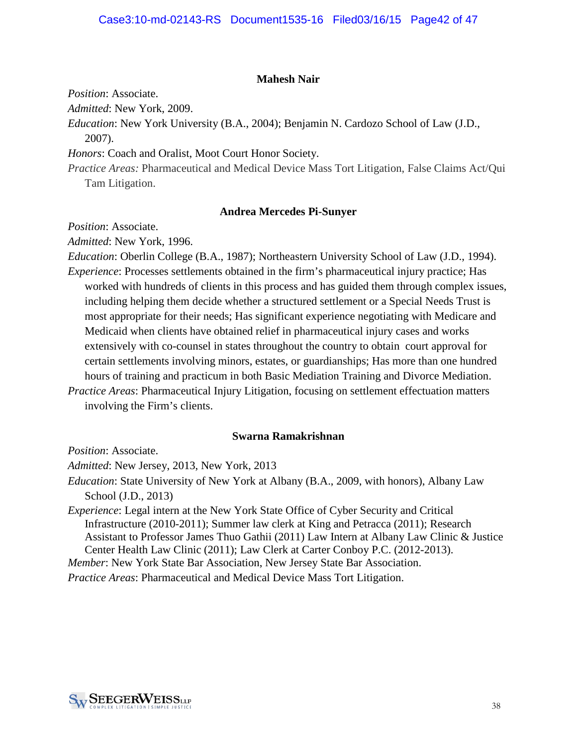#### **Mahesh Nair**

*Position*: Associate.

*Admitted*: New York, 2009.

*Education*: New York University (B.A., 2004); Benjamin N. Cardozo School of Law (J.D., 2007).

*Honors*: Coach and Oralist, Moot Court Honor Society.

*Practice Areas:* Pharmaceutical and Medical Device Mass Tort Litigation, False Claims Act/Qui Tam Litigation.

#### **[Andrea Mercedes Pi-Sunyer](http://www.martindale.com/xp/Martindale/Lawyer_Locator/Search_Lawyer_Locator/atty_listing.xml?l=6FA3D911457BB3&a=A6DB0F457DAEE5&&searchid=200702271521446335258&PRV=LL2&STYPE=N)**

*Position*: Associate.

*Admitted*: New York, 1996.

*Education*: Oberlin College (B.A., 1987); Northeastern University School of Law (J.D., 1994). *Experience*: Processes settlements obtained in the firm's pharmaceutical injury practice; Has worked with hundreds of clients in this process and has guided them through complex issues, including helping them decide whether a structured settlement or a Special Needs Trust is most appropriate for their needs; Has significant experience negotiating with Medicare and Medicaid when clients have obtained relief in pharmaceutical injury cases and works extensively with co-counsel in states throughout the country to obtain court approval for certain settlements involving minors, estates, or guardianships; Has more than one hundred hours of training and practicum in both Basic Mediation Training and Divorce Mediation. *Practice Areas*: Pharmaceutical Injury Litigation, focusing on settlement effectuation matters

involving the Firm's clients.

#### **Swarna Ramakrishnan**

*Position*: Associate.

*Admitted*: New Jersey, 2013, New York, 2013

*Education*: State University of New York at Albany (B.A., 2009, with honors), Albany Law School (J.D., 2013)

*Experience*: Legal intern at the New York State Office of Cyber Security and Critical Infrastructure (2010-2011); Summer law clerk at King and Petracca (2011); Research Assistant to Professor James Thuo Gathii (2011) Law Intern at Albany Law Clinic & Justice Center Health Law Clinic (2011); Law Clerk at Carter Conboy P.C. (2012-2013).

*Member*: New York State Bar Association, New Jersey State Bar Association.

*Practice Areas*: Pharmaceutical and Medical Device Mass Tort Litigation.

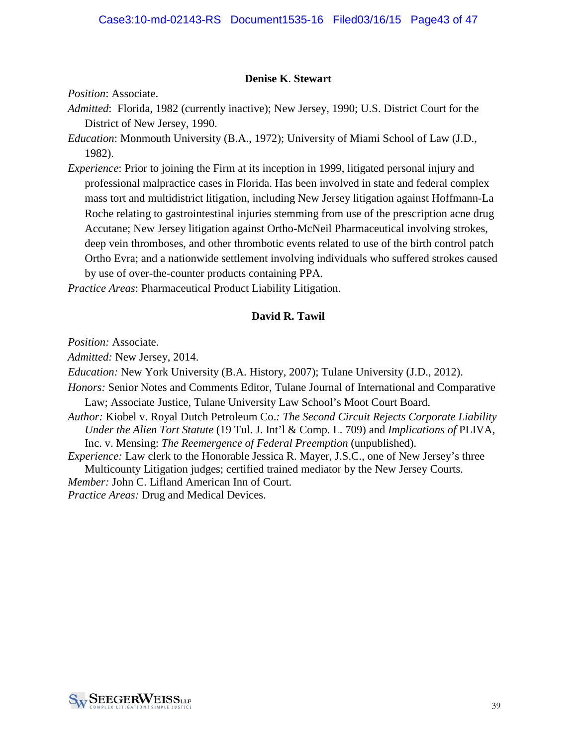#### **Denise K**. **Stewart**

*Position*: Associate.

- *Admitted*: Florida, 1982 (currently inactive); New Jersey, 1990; U.S. District Court for the District of New Jersey, 1990.
- *Education*: Monmouth University (B.A., 1972); University of Miami School of Law (J.D., 1982).
- *Experience*: Prior to joining the Firm at its inception in 1999, litigated personal injury and professional malpractice cases in Florida. Has been involved in state and federal complex mass tort and multidistrict litigation, including New Jersey litigation against Hoffmann-La Roche relating to gastrointestinal injuries stemming from use of the prescription acne drug Accutane; New Jersey litigation against Ortho-McNeil Pharmaceutical involving strokes, deep vein thromboses, and other thrombotic events related to use of the birth control patch Ortho Evra; and a nationwide settlement involving individuals who suffered strokes caused by use of over-the-counter products containing PPA.

*Practice Areas*: Pharmaceutical Product Liability Litigation.

#### **David R. Tawil**

*Position:* Associate.

*Admitted:* New Jersey, 2014.

*Education:* New York University (B.A. History, 2007); Tulane University (J.D., 2012).

- *Honors:* Senior Notes and Comments Editor, Tulane Journal of International and Comparative Law; Associate Justice, Tulane University Law School's Moot Court Board.
- *Author:* Kiobel v. Royal Dutch Petroleum Co.*: The Second Circuit Rejects Corporate Liability Under the Alien Tort Statute* (19 Tul. J. Int'l & Comp. L. 709) and *Implications of* PLIVA, Inc. v. Mensing: *The Reemergence of Federal Preemption* (unpublished).

*Experience:* Law clerk to the Honorable Jessica R. Mayer, J.S.C., one of New Jersey's three Multicounty Litigation judges; certified trained mediator by the New Jersey Courts. *Member:* John C. Lifland American Inn of Court. *Practice Areas:* Drug and Medical Devices.

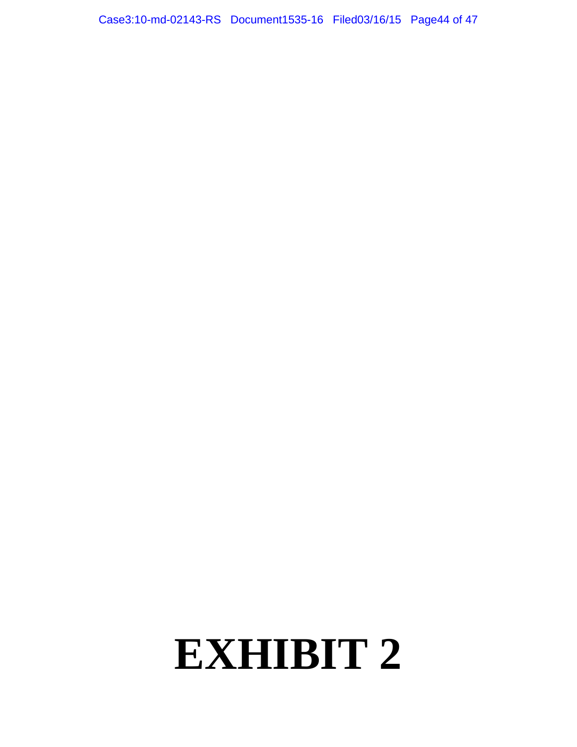Case3:10-md-02143-RS Document1535-16 Filed03/16/15 Page44 of 47

# **EXHIBIT 2**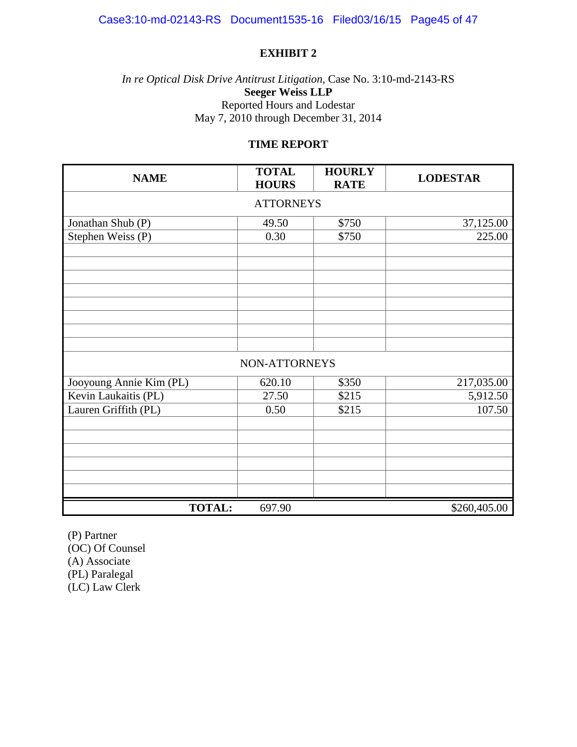#### **EXHIBIT 2**

*In re Optical Disk Drive Antitrust Litigation*, Case No. 3:10-md-2143-RS **Seeger Weiss LLP** Reported Hours and Lodestar May 7, 2010 through December 31, 2014

#### **TIME REPORT**

| <b>NAME</b>             | <b>TOTAL</b><br><b>HOURS</b> | <b>HOURLY</b><br><b>RATE</b> | <b>LODESTAR</b> |  |  |  |
|-------------------------|------------------------------|------------------------------|-----------------|--|--|--|
| <b>ATTORNEYS</b>        |                              |                              |                 |  |  |  |
| Jonathan Shub (P)       | 49.50                        | \$750                        | 37,125.00       |  |  |  |
| Stephen Weiss (P)       | 0.30                         | \$750                        | 225.00          |  |  |  |
|                         |                              |                              |                 |  |  |  |
|                         |                              |                              |                 |  |  |  |
|                         |                              |                              |                 |  |  |  |
|                         |                              |                              |                 |  |  |  |
|                         |                              |                              |                 |  |  |  |
|                         |                              |                              |                 |  |  |  |
|                         |                              |                              |                 |  |  |  |
| NON-ATTORNEYS           |                              |                              |                 |  |  |  |
| Jooyoung Annie Kim (PL) | 620.10                       | \$350                        | 217,035.00      |  |  |  |
| Kevin Laukaitis (PL)    | 27.50                        | \$215                        | 5,912.50        |  |  |  |
| Lauren Griffith (PL)    | 0.50                         | \$215                        | 107.50          |  |  |  |
|                         |                              |                              |                 |  |  |  |
|                         |                              |                              |                 |  |  |  |
|                         |                              |                              |                 |  |  |  |
|                         |                              |                              |                 |  |  |  |
|                         |                              |                              |                 |  |  |  |
| <b>TOTAL:</b>           | 697.90                       |                              | \$260,405.00    |  |  |  |

(P) Partner (OC) Of Counsel (A) Associate (PL) Paralegal (LC) Law Clerk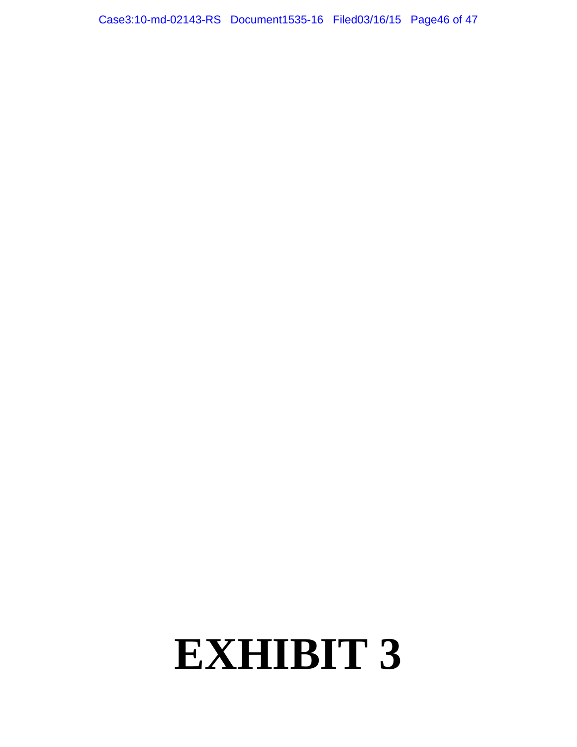Case3:10-md-02143-RS Document1535-16 Filed03/16/15 Page46 of 47

# **EXHIBIT 3**